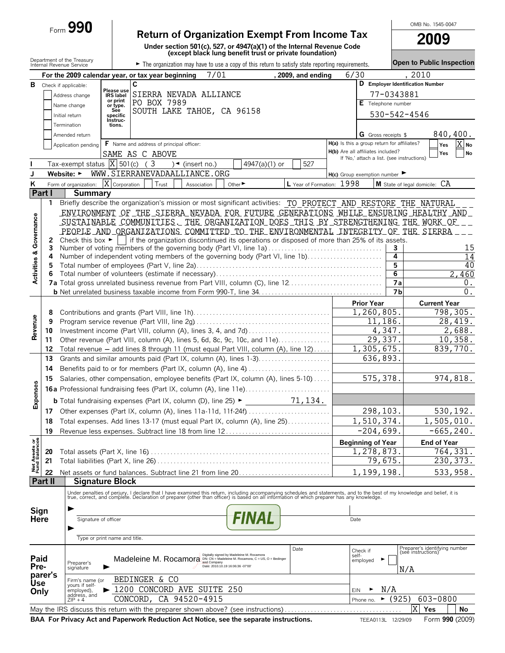|                                |                          | $F_{\text{form}}$ 990                      |                                          |                                                        |                               |                                                                                                                                                                                                                                   |                           |      |                                             |                | OMB No. 1545-0047                                   |                          |
|--------------------------------|--------------------------|--------------------------------------------|------------------------------------------|--------------------------------------------------------|-------------------------------|-----------------------------------------------------------------------------------------------------------------------------------------------------------------------------------------------------------------------------------|---------------------------|------|---------------------------------------------|----------------|-----------------------------------------------------|--------------------------|
|                                |                          |                                            |                                          |                                                        |                               | <b>Return of Organization Exempt From Income Tax</b>                                                                                                                                                                              |                           |      |                                             |                | <b>2009</b>                                         |                          |
|                                |                          |                                            |                                          |                                                        |                               | Under section 501(c), 527, or 4947(a)(1) of the Internal Revenue Code<br>(except black lung benefit trust or private foundation)                                                                                                  |                           |      |                                             |                |                                                     |                          |
|                                |                          | Department of the Treasury                 |                                          |                                                        |                               |                                                                                                                                                                                                                                   |                           |      |                                             |                | Open to Public Inspection                           |                          |
|                                | Internal Revenue Service |                                            |                                          |                                                        |                               | The organization may have to use a copy of this return to satisfy state reporting requirements.                                                                                                                                   |                           |      |                                             |                |                                                     |                          |
|                                |                          |                                            |                                          | For the 2009 calendar year, or tax year beginning<br>C | 7/01                          |                                                                                                                                                                                                                                   | , 2009, and ending        | 6/30 |                                             |                | 2010<br>D Employer Identification Number            |                          |
| В                              | Check if applicable:     |                                            | Please use                               | SIERRA NEVADA ALLIANCE                                 |                               |                                                                                                                                                                                                                                   |                           |      |                                             | 77-0343881     |                                                     |                          |
|                                |                          | Address change<br>Name change              | <b>IRS</b> label<br>or print<br>or type. | PO BOX 7989                                            |                               |                                                                                                                                                                                                                                   |                           |      | E Telephone number                          |                |                                                     |                          |
|                                |                          | Initial return                             | See<br>specific                          | SOUTH LAKE TAHOE, CA 96158                             |                               |                                                                                                                                                                                                                                   |                           |      |                                             |                | 530-542-4546                                        |                          |
|                                |                          | Termination                                | Instruc-<br>tions.                       |                                                        |                               |                                                                                                                                                                                                                                   |                           |      |                                             |                |                                                     |                          |
|                                |                          | Amended return                             |                                          |                                                        |                               |                                                                                                                                                                                                                                   |                           |      | <b>G</b> Gross receipts \$                  |                |                                                     | 840,400.                 |
|                                |                          | Application pending                        |                                          | F Name and address of principal officer:               |                               |                                                                                                                                                                                                                                   |                           |      | H(a) Is this a group return for affiliates? |                |                                                     | $\overline{X}$ No<br>Yes |
|                                |                          |                                            |                                          | SAME AS C ABOVE                                        |                               |                                                                                                                                                                                                                                   |                           |      | H(b) Are all affiliates included?           |                |                                                     | Yes<br>No                |
|                                |                          | Tax-exempt status $\overline{X}$ 501(c) (3 |                                          |                                                        | $\sqrt{\bullet}$ (insert no.) | 4947(a)(1) or                                                                                                                                                                                                                     | 527                       |      | If 'No,' attach a list. (see instructions)  |                |                                                     |                          |
| J                              |                          | Website: ►                                 |                                          | WWW.SIERRANEVADAALLIANCE.ORG                           |                               |                                                                                                                                                                                                                                   |                           |      | $H(c)$ Group exemption number               |                |                                                     |                          |
| K                              |                          | Form of organization:                      | X<br>Corporation                         | Trust                                                  | Association                   | Other <sup>&gt;</sup>                                                                                                                                                                                                             | L Year of Formation: 1998 |      |                                             |                | M State of legal domicile: CA                       |                          |
|                                | Part I                   | <b>Summary</b>                             |                                          |                                                        |                               |                                                                                                                                                                                                                                   |                           |      |                                             |                |                                                     |                          |
|                                | 1                        |                                            |                                          |                                                        |                               | Briefly describe the organization's mission or most significant activities: TO PROTECT AND RESTORE THE NATURAL                                                                                                                    |                           |      |                                             |                |                                                     |                          |
|                                |                          |                                            |                                          |                                                        |                               | ENVIRONMENT OF THE SIERRA NEVADA FOR FUTURE GENERATIONS WHILE ENSURING HEALTHY AND                                                                                                                                                |                           |      |                                             |                |                                                     |                          |
| Governance                     |                          |                                            |                                          |                                                        |                               | SUSTAINABLE COMMUNITIES THE ORGANIZATION DOES THIS BY STRENGTHENING THE WORK OF<br>PEOPLE AND ORGANIZATIONS COMMITTED TO THE ENVIRONMENTAL INTEGRITY OF THE SIERRA                                                                |                           |      |                                             |                |                                                     |                          |
|                                | 2                        |                                            |                                          |                                                        |                               | Check this box $\blacktriangleright$   if the organization discontinued its operations or disposed of more than 25% of its assets.                                                                                                |                           |      |                                             |                |                                                     |                          |
|                                | 3                        |                                            |                                          |                                                        |                               | Number of voting members of the governing body (Part VI, line 1a)                                                                                                                                                                 |                           |      |                                             | 3              |                                                     | 15                       |
|                                | 4                        |                                            |                                          |                                                        |                               | Number of independent voting members of the governing body (Part VI, line 1b)                                                                                                                                                     |                           |      |                                             | 4              |                                                     | 14                       |
| <b>Activities &amp;</b>        | 5                        |                                            |                                          |                                                        |                               |                                                                                                                                                                                                                                   |                           |      |                                             | 5              |                                                     | 40                       |
|                                | 6                        |                                            |                                          |                                                        |                               | 7a Total gross unrelated business revenue from Part VIII, column (C), line 12                                                                                                                                                     |                           |      |                                             | 6<br>7a        |                                                     | 2,460<br>0.              |
|                                |                          |                                            |                                          |                                                        |                               |                                                                                                                                                                                                                                   |                           |      |                                             | 7 <sub>b</sub> |                                                     | $\Omega$ .               |
|                                |                          |                                            |                                          |                                                        |                               |                                                                                                                                                                                                                                   |                           |      | <b>Prior Year</b>                           |                | <b>Current Year</b>                                 |                          |
|                                | 8                        |                                            |                                          |                                                        |                               |                                                                                                                                                                                                                                   |                           |      | 1,260,805.                                  |                |                                                     | 798,305.                 |
|                                | 9                        |                                            |                                          |                                                        |                               |                                                                                                                                                                                                                                   |                           |      | 11,186.                                     |                |                                                     | 28,419.                  |
| Revenue                        | 10                       |                                            |                                          |                                                        |                               | Investment income (Part VIII, column (A), lines 3, 4, and 7d)                                                                                                                                                                     |                           |      |                                             | 4,347.         |                                                     | 2,688.                   |
|                                | 11                       |                                            |                                          |                                                        |                               | Other revenue (Part VIII, column (A), lines 5, 6d, 8c, 9c, 10c, and 11e)                                                                                                                                                          |                           |      | 29,337.                                     |                |                                                     | 10,358.                  |
|                                | 12                       |                                            |                                          |                                                        |                               | Total revenue - add lines 8 through 11 (must equal Part VIII, column (A), line 12)                                                                                                                                                |                           |      | 1,305,675.                                  |                |                                                     | 839,770.                 |
|                                | 13                       |                                            |                                          |                                                        |                               | Grants and similar amounts paid (Part IX, column (A), lines 1-3)                                                                                                                                                                  |                           |      | 636,893.                                    |                |                                                     |                          |
|                                | 14                       |                                            |                                          |                                                        |                               | Benefits paid to or for members (Part IX, column (A), line 4)                                                                                                                                                                     |                           |      |                                             |                |                                                     |                          |
| ses                            | 15                       |                                            |                                          |                                                        |                               | Salaries, other compensation, employee benefits (Part IX, column (A), lines 5-10)                                                                                                                                                 |                           |      | 575, 378.                                   |                |                                                     | 974,818.                 |
|                                |                          |                                            |                                          |                                                        |                               | 16a Professional fundraising fees (Part IX, column (A), line 11e)                                                                                                                                                                 |                           |      |                                             |                |                                                     |                          |
| Expen                          |                          |                                            |                                          |                                                        |                               |                                                                                                                                                                                                                                   |                           |      |                                             |                |                                                     |                          |
|                                | 17                       |                                            |                                          |                                                        |                               |                                                                                                                                                                                                                                   |                           |      | 298,103.                                    |                |                                                     | 530,192.                 |
|                                | 18                       |                                            |                                          |                                                        |                               | Total expenses. Add lines 13-17 (must equal Part IX, column (A), line 25)                                                                                                                                                         |                           |      | 1,510,374.                                  |                |                                                     | 1,505,010.               |
|                                | 19                       |                                            |                                          |                                                        |                               | Revenue less expenses. Subtract line 18 from line 12                                                                                                                                                                              |                           |      | $-204,699.$                                 |                |                                                     | $-665, 240.$             |
|                                |                          |                                            |                                          |                                                        |                               |                                                                                                                                                                                                                                   |                           |      | <b>Beginning of Year</b>                    |                | End of Year                                         |                          |
|                                | 20                       |                                            |                                          |                                                        |                               |                                                                                                                                                                                                                                   |                           |      | $\overline{1}$ , 278, 873.                  |                |                                                     | 764,331.                 |
| Net Assets or<br>Fund Balances | 21                       |                                            |                                          |                                                        |                               |                                                                                                                                                                                                                                   |                           |      | 79,675.                                     |                |                                                     | 230, 373.                |
|                                | 22<br><b>Part II</b>     |                                            | <b>Signature Block</b>                   |                                                        |                               | Net assets or fund balances. Subtract line 21 from line 20                                                                                                                                                                        |                           |      | 1,199,198                                   |                |                                                     | 533,958.                 |
|                                |                          |                                            |                                          |                                                        |                               |                                                                                                                                                                                                                                   |                           |      |                                             |                |                                                     |                          |
|                                |                          |                                            |                                          |                                                        |                               | Under penalties of perjury, I declare that I have examined this return, including accompanying schedules and statements, and to the best of my knowledge and belief, it is<br>true, correct, and complete. Declaration of prepare |                           |      |                                             |                |                                                     |                          |
| Sign                           |                          |                                            |                                          |                                                        |                               |                                                                                                                                                                                                                                   |                           |      |                                             |                |                                                     |                          |
| Here                           |                          | Signature of officer                       |                                          |                                                        |                               | <i>FINAL</i>                                                                                                                                                                                                                      |                           |      | Date                                        |                |                                                     |                          |
|                                |                          |                                            |                                          |                                                        |                               |                                                                                                                                                                                                                                   |                           |      |                                             |                |                                                     |                          |
|                                |                          |                                            | Type or print name and title.            |                                                        |                               |                                                                                                                                                                                                                                   |                           |      |                                             |                |                                                     |                          |
|                                |                          |                                            |                                          |                                                        |                               | Digitally signed by Madeleine M. Rocamora                                                                                                                                                                                         | Date                      |      | Check if<br>self-                           |                | Preparer's identifying number<br>(see instructions) |                          |
| Paid<br>Pre-                   |                          | Preparer's                                 |                                          |                                                        | and Company                   | Madeleine M. Rocamora DN: CN = Madeleine M. Rocamora, C = US, O = Bedinger<br>Date: 2010.10.19 16:06:36 -07'00'                                                                                                                   |                           |      | employed                                    |                |                                                     |                          |
|                                | parer's                  | signature                                  |                                          |                                                        |                               |                                                                                                                                                                                                                                   |                           |      |                                             |                | N/A                                                 |                          |
| Use                            |                          | Firm's name (or<br>yours if self-          |                                          | BEDINGER & CO                                          |                               |                                                                                                                                                                                                                                   |                           |      |                                             |                |                                                     |                          |
| Only                           |                          | employed),<br>address, and                 |                                          | > 1200 CONCORD AVE SUITE 250                           |                               |                                                                                                                                                                                                                                   |                           |      | <b>EIN</b>                                  | N/A            |                                                     |                          |
|                                |                          | $ZIP + 4$                                  |                                          | CONCORD, CA 94520-4915                                 |                               |                                                                                                                                                                                                                                   |                           |      | $\blacktriangleright$<br>Phone no.          | (925)          | 603-0800                                            |                          |
|                                |                          |                                            |                                          |                                                        |                               | May the IRS discuss this return with the preparer shown above? (see instructions)                                                                                                                                                 |                           |      |                                             |                | X<br>Yes                                            | No                       |

**BAA For Privacy Act and Paperwork Reduction Act Notice, see the separate instructions.** TEEA0113L 12/29/09 Form 990 (2009)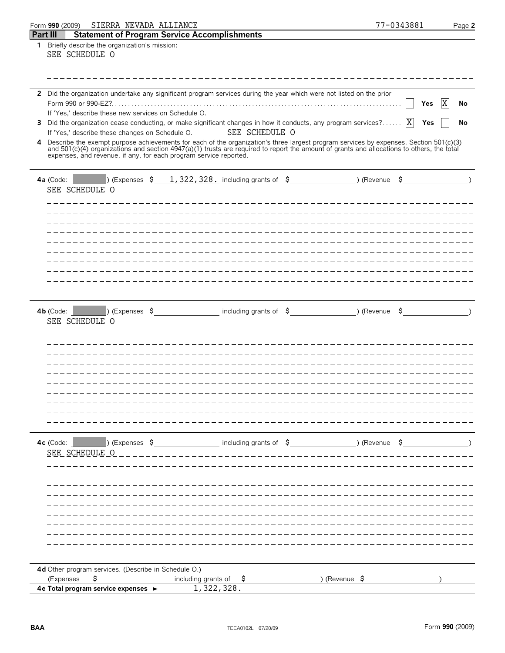| SIERRA NEVADA ALLIANCE<br>Form 990 (2009)                                                                                                                                                                                                                                                                                                                                                                                                                                                                                                                                                                                                                                                                                                        | 77-0343881 | Page 2         |
|--------------------------------------------------------------------------------------------------------------------------------------------------------------------------------------------------------------------------------------------------------------------------------------------------------------------------------------------------------------------------------------------------------------------------------------------------------------------------------------------------------------------------------------------------------------------------------------------------------------------------------------------------------------------------------------------------------------------------------------------------|------------|----------------|
| <b>Part III</b><br><b>Statement of Program Service Accomplishments</b>                                                                                                                                                                                                                                                                                                                                                                                                                                                                                                                                                                                                                                                                           |            |                |
| Briefly describe the organization's mission:<br>$\mathbf{1}$<br>SEE SCHEDULE O                                                                                                                                                                                                                                                                                                                                                                                                                                                                                                                                                                                                                                                                   |            |                |
|                                                                                                                                                                                                                                                                                                                                                                                                                                                                                                                                                                                                                                                                                                                                                  |            |                |
| 2 Did the organization undertake any significant program services during the year which were not listed on the prior<br>If 'Yes,' describe these new services on Schedule O.<br>Did the organization cease conducting, or make significant changes in how it conducts, any program services? $\boxed{X}$<br>3<br>SEE SCHEDULE O<br>If 'Yes,' describe these changes on Schedule O.<br>4 Describe the exempt purpose achievements for each of the organization's three largest program services by expenses. Section 501(c)(3)<br>and 501(c)(4) organizations and section 4947(a)(1) trusts are required to report the amount of grants and allocations to others, the total<br>expenses, and revenue, if any, for each program service reported. | Yes<br>Yes | IX<br>No<br>No |
| 4a (Code: $($ ) (Expenses \$ 1,322,328 including grants of \$ ) (Revenue \$ )<br>SEE SCHEDULE O                                                                                                                                                                                                                                                                                                                                                                                                                                                                                                                                                                                                                                                  |            |                |
| $(1)$ (Expenses $\Im$ Section 1 including grants of $\Im$ Section 1 including grants of $\Im$ Section 1 including grants of $\Im$ Section 1 including grants of $\Im$ Section 1 including grants of $\Im$ Section 1 including grant<br>$4b$ (Code:                                                                                                                                                                                                                                                                                                                                                                                                                                                                                               |            |                |
| SEE SCHEDULE O                                                                                                                                                                                                                                                                                                                                                                                                                                                                                                                                                                                                                                                                                                                                   |            |                |
| 4c (Code: Nexpenses \$ _____________________ including grants of \$ _______________) (Revenue \$ _______________)<br>SEE SCHEDULE O                                                                                                                                                                                                                                                                                                                                                                                                                                                                                                                                                                                                              |            |                |
| 4d Other program services. (Describe in Schedule O.)<br>\$<br>including grants of $\frac{1}{2}$<br>) (Revenue \$<br>(Expenses                                                                                                                                                                                                                                                                                                                                                                                                                                                                                                                                                                                                                    |            |                |
| 1,322,328.<br>4e Total program service expenses ►                                                                                                                                                                                                                                                                                                                                                                                                                                                                                                                                                                                                                                                                                                |            |                |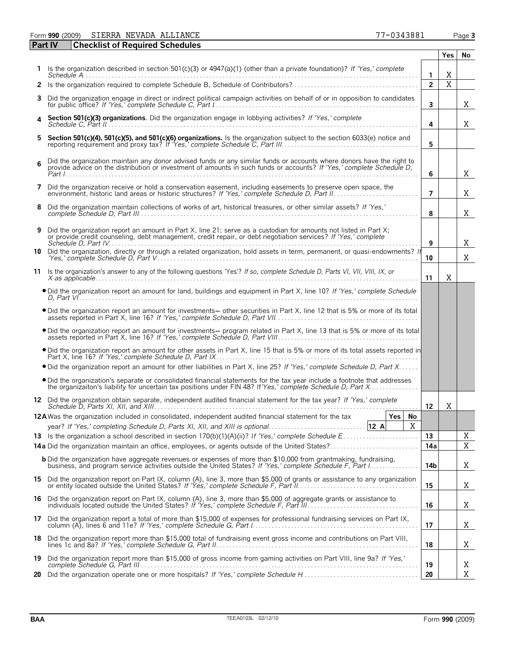Form **990** (2009) Page **3** SIERRA NEVADA ALLIANCE 77-0343881

| <b>Part IV</b> | <b>Checklist of Required Schedules</b>                                                                                                                                                                                                         |                  |     |    |
|----------------|------------------------------------------------------------------------------------------------------------------------------------------------------------------------------------------------------------------------------------------------|------------------|-----|----|
|                |                                                                                                                                                                                                                                                |                  | Yes | No |
|                | 1 Is the organization described in section 501(c)(3) or 4947(a)(1) (other than a private foundation)? If 'Yes,' complete                                                                                                                       | $\mathbf{1}$     | X   |    |
| $\mathbf{2}$   |                                                                                                                                                                                                                                                | $\overline{2}$   | X   |    |
| 3              | Did the organization engage in direct or indirect political campaign activities on behalf of or in opposition to candidates                                                                                                                    | $\mathbf{3}$     |     | Χ  |
|                | Section 501(c)(3) organizations. Did the organization engage in lobbying activities? If 'Yes,' complete                                                                                                                                        | 4                |     | X  |
| 5              | Section 501(c)(4), 501(c)(5), and 501(c)(6) organizations. Is the organization subject to the section 6033(e) notice and                                                                                                                       | 5                |     |    |
| 6              | Did the organization maintain any donor advised funds or any similar funds or accounts where donors have the right to<br>provide advice on the distribution or investment of amounts in such funds or accounts? If 'Yes,' complete Schedule D, | 6                |     | Χ  |
| 7              | Did the organization receive or hold a conservation easement, including easements to preserve open space, the                                                                                                                                  | $\overline{7}$   |     | Χ  |
| 8              | Did the organization maintain collections of works of art, historical treasures, or other similar assets? If 'Yes,'                                                                                                                            | 8                |     | Χ  |
|                | 9 Did the organization report an amount in Part X, line 21; serve as a custodian for amounts not listed in Part X;<br>or provide credit counseling, debt management, credit repair, or debt negotiation services? If 'Yes,' complete           | 9                |     | Χ  |
|                | 10 Did the organization, directly or through a related organization, hold assets in term, permanent, or quasi-endowments? If                                                                                                                   | 10               |     | Χ  |
|                | 11 Is the organization's answer to any of the following questions 'Yes'? If so, complete Schedule D, Parts VI, VII, VIII, IX, or                                                                                                               | 11               | Χ   |    |
|                | . Did the organization report an amount for land, buildings and equipment in Part X, line 10? If 'Yes,' complete Schedule                                                                                                                      |                  |     |    |
|                | . Did the organization report an amount for investments- other securities in Part X, line 12 that is 5% or more of its total                                                                                                                   |                  |     |    |
|                | . Did the organization report an amount for investments- program related in Part X, line 13 that is 5% or more of its total                                                                                                                    |                  |     |    |
|                | . Did the organization report an amount for other assets in Part X, line 15 that is 5% or more of its total assets reported in                                                                                                                 |                  |     |    |
|                | • Did the organization report an amount for other liabilities in Part X, line 25? If 'Yes,' complete Schedule D, Part X                                                                                                                        |                  |     |    |
|                | . Did the organization's separate or consolidated financial statements for the tax year include a footnote that addresses                                                                                                                      |                  |     |    |
|                | 12 Did the organization obtain separate, independent audited financial statement for the tax year? If 'Yes,' complete                                                                                                                          | 12 <sup>12</sup> | Χ   |    |
|                | <b>12A</b> Was the organization included in consolidated, independent audited financial statement for the tax<br>Yes  <br>No<br>X                                                                                                              |                  |     |    |
|                |                                                                                                                                                                                                                                                | 13               |     | Χ  |
|                | <b>14a</b> Did the organization maintain an office, employees, or agents outside of the United States?                                                                                                                                         | 14a              |     | X  |
|                | <b>b</b> Did the organization have aggregate revenues or expenses of more than \$10,000 from grantmaking, fundraising,                                                                                                                         | 14b              |     | Χ  |
|                | 15 Did the organization report on Part IX, column (A), line 3, more than \$5,000 of grants or assistance to any organization                                                                                                                   | 15               |     | Χ  |
| 16.            | Did the organization report on Part IX, column (A), line 3, more than \$5,000 of aggregate grants or assistance to                                                                                                                             | 16               |     | Χ  |
| 17             | Did the organization report a total of more than \$15,000 of expenses for professional fundraising services on Part IX,                                                                                                                        | 17               |     | X  |
| 18             | Did the organization report more than \$15,000 total of fundraising event gross income and contributions on Part VIII,                                                                                                                         | 18               |     | X  |
| 19             | Did the organization report more than \$15,000 of gross income from gaming activities on Part VIII, line 9a? If 'Yes,'                                                                                                                         | 19               |     | Χ  |
| 20             | Did the organization operate one or more hospitals? If 'Yes,' complete Schedule H                                                                                                                                                              | 20               |     | X  |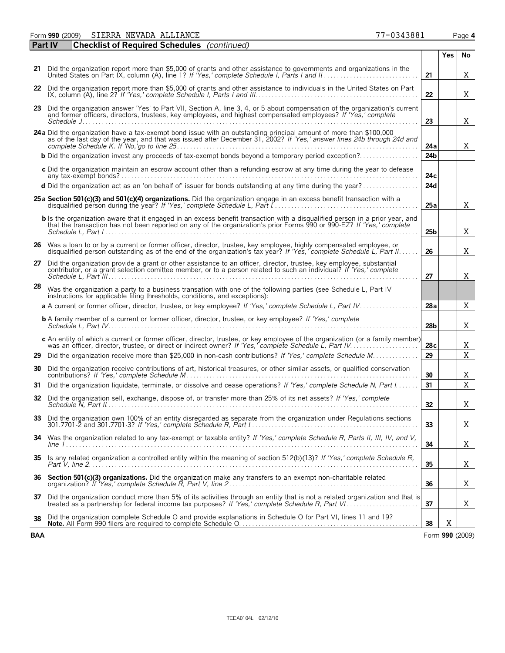Form **990** (2009) Page **4** SIERRA NEVADA ALLIANCE 77-0343881

| <b>Part IV</b> | <b>Checklist of Required Schedules</b> (continued)                                                                                                                                                                                              |                 |            |                 |
|----------------|-------------------------------------------------------------------------------------------------------------------------------------------------------------------------------------------------------------------------------------------------|-----------------|------------|-----------------|
|                |                                                                                                                                                                                                                                                 |                 | <b>Yes</b> | No              |
| 21             | Did the organization report more than \$5,000 of grants and other assistance to governments and organizations in the                                                                                                                            | 21              |            | X               |
| 22             | Did the organization report more than \$5,000 of grants and other assistance to individuals in the United States on Part                                                                                                                        | 22              |            | X               |
|                | 23 Did the organization answer 'Yes' to Part VII, Section A, line 3, 4, or 5 about compensation of the organization's current<br>and former officers, directors, trustees, key employees, and highest compensated employees? If 'Yes,' complete | 23              |            | Χ               |
|                | 24a Did the organization have a tax-exempt bond issue with an outstanding principal amount of more than \$100,000 as of the last day of the year, and that was issued after December 31, 2002? If 'Yes,' answer lines 24b throu                 | 24a             |            | X.              |
|                | <b>b</b> Did the organization invest any proceeds of tax-exempt bonds beyond a temporary period exception?                                                                                                                                      | 24 <sub>b</sub> |            |                 |
|                | c Did the organization maintain an escrow account other than a refunding escrow at any time during the year to defease                                                                                                                          | 24c             |            |                 |
|                | d Did the organization act as an 'on behalf of' issuer for bonds outstanding at any time during the year?                                                                                                                                       | 24d             |            |                 |
|                | 25 a Section 501(c)(3) and 501(c)(4) organizations. Did the organization engage in an excess benefit transaction with a                                                                                                                         | 25a             |            | X               |
|                | <b>b</b> Is the organization aware that it engaged in an excess benefit transaction with a disqualified person in a prior year, and that the transaction has not been reported on any of the organization's prior Forms 990 or 990-             | 25 <sub>b</sub> |            | Χ               |
|                | 26 Was a loan to or by a current or former officer, director, trustee, key employee, highly compensated employee, or<br>disqualified person outstanding as of the end of the organization's tax year? If 'Yes,' complete Schedule L, Part II    | 26              |            | Χ               |
| 27             | Did the organization provide a grant or other assistance to an officer, director, trustee, key employee, substantial<br>contributor, or a grant selection comittee member, or to a person related to such an individual? If 'Yes,' complete     | 27              |            | Χ               |
| 28             | Was the organization a party to a business transation with one of the following parties (see Schedule L, Part IV<br>instructions for applicable filing thresholds, conditions, and exceptions):                                                 |                 |            |                 |
|                | a A current or former officer, director, trustee, or key employee? If 'Yes,' complete Schedule L, Part IV                                                                                                                                       | 28a             |            | X               |
|                | <b>b</b> A family member of a current or former officer, director, trustee, or key employee? If 'Yes,' complete                                                                                                                                 | 28 <sub>b</sub> |            | Χ               |
|                | c An entity of which a current or former officer, director, trustee, or key employee of the organization (or a family member)                                                                                                                   | 28c             |            | Χ               |
| 29.            | Did the organization receive more than \$25,000 in non-cash contributions? If 'Yes,' complete Schedule M                                                                                                                                        | 29              |            | $\overline{X}$  |
| 30             | Did the organization receive contributions of art, historical treasures, or other similar assets, or qualified conservation                                                                                                                     | 30              |            | Χ               |
| 31             | Did the organization liquidate, terminate, or dissolve and cease operations? If 'Yes,' complete Schedule N, Part I                                                                                                                              | 31              |            | $\overline{X}$  |
| 32             | Did the organization sell, exchange, dispose of, or transfer more than 25% of its net assets? If 'Yes,' complete                                                                                                                                | 32              |            | Χ               |
| 33             | Did the organization own 100% of an entity disregarded as separate from the organization under Regulations sections                                                                                                                             | 33              |            | Χ               |
| 34             | Was the organization related to any tax-exempt or taxable entity? If 'Yes,' complete Schedule R, Parts II, III, IV, and V,                                                                                                                      | 34              |            | Χ               |
| 35             | Is any related organization a controlled entity within the meaning of section 512(b)(13)? If 'Yes,' complete Schedule R,                                                                                                                        | 35              |            | Χ               |
| 36             | Section 501(c)(3) organizations. Did the organization make any transfers to an exempt non-charitable related                                                                                                                                    | 36              |            | Χ               |
| 37             | Did the organization conduct more than 5% of its activities through an entity that is not a related organization and that is                                                                                                                    | 37              |            | Χ               |
| 38             | Did the organization complete Schedule O and provide explanations in Schedule O for Part VI, lines 11 and 19?                                                                                                                                   | 38              | X          |                 |
| <b>BAA</b>     |                                                                                                                                                                                                                                                 |                 |            | Form 990 (2009) |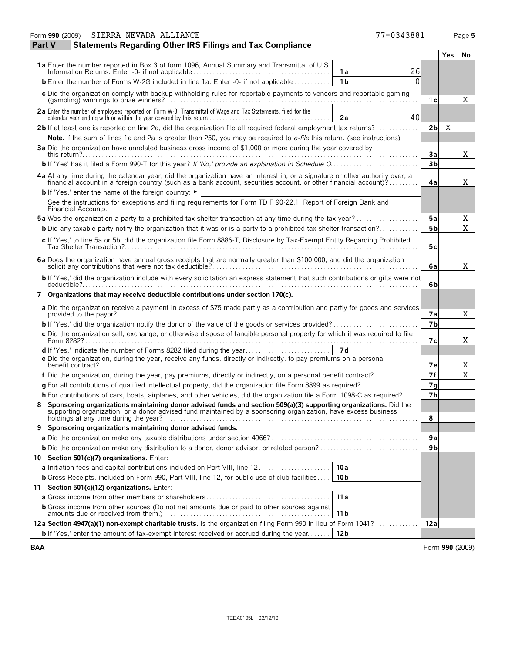| No<br>Yes.<br>1a Enter the number reported in Box 3 of form 1096, Annual Summary and Transmittal of U.S.<br>26<br>1a<br>$\Omega$<br><b>b</b> Enter the number of Forms W-2G included in line 1a. Enter -0- if not applicable<br>1 <sub>b</sub><br>c Did the organization comply with backup withholding rules for reportable payments to vendors and reportable gaming<br>X<br>1с<br>2a Enter the number of employees reported on Form W-3, Transmittal of Wage and Tax Statements, filed for the<br>40<br>2a<br>2b If at least one is reported on line 2a, did the organization file all required federal employment tax returns?<br>Χ<br>2 <sub>b</sub><br>Note. If the sum of lines 1a and 2a is greater than 250, you may be required to e-file this return. (see instructions)<br>3a Did the organization have unrelated business gross income of \$1,000 or more during the year covered by<br>Χ<br>3a<br>3 <sub>b</sub><br>4a At any time during the calendar year, did the organization have an interest in, or a signature or other authority over, a<br>financial account in a foreign country (such as a bank account, securities account, or other financial account)?<br>X<br>4a<br><b>b</b> If 'Yes,' enter the name of the foreign country: $\blacktriangleright$<br>See the instructions for exceptions and filing requirements for Form TD F 90-22.1, Report of Foreign Bank and<br>Financial Accounts.<br><b>5a</b> Was the organization a party to a prohibited tax shelter transaction at any time during the tax year?<br>5a<br>Χ<br>X<br>5 <sub>b</sub><br><b>b</b> Did any taxable party notify the organization that it was or is a party to a prohibited tax shelter transaction?<br>c If 'Yes,' to line 5a or 5b, did the organization file Form 8886-T, Disclosure by Tax-Exempt Entity Regarding Prohibited<br>5c<br>6a Does the organization have annual gross receipts that are normally greater than \$100,000, and did the organization<br>X<br>6a<br>b If 'Yes,' did the organization include with every solicitation an express statement that such contributions or gifts were not<br>6b<br>7 Organizations that may receive deductible contributions under section 170(c).<br>a Did the organization receive a payment in excess of \$75 made partly as a contribution and partly for goods and services<br>X<br>7а<br>7 <sub>b</sub><br>c Did the organization sell, exchange, or otherwise dispose of tangible personal property for which it was required to file<br>X<br>7с<br>d If 'Yes,' indicate the number of Forms 8282 filed during the year<br>7d<br>e Did the organization, during the year, receive any funds, directly or indirectly, to pay premiums on a personal<br>7е<br>X<br>X<br>7f<br>f Did the organization, during the year, pay premiums, directly or indirectly, on a personal benefit contract?<br>$g$ For all contributions of qualified intellectual property, did the organization file Form 8899 as required?<br>7g<br>h For contributions of cars, boats, airplanes, and other vehicles, did the organization file a Form 1098-C as required?<br>7 <sub>h</sub><br>Sponsoring organizations maintaining donor advised funds and section 509(a)(3) supporting organizations. Did the<br>8<br>supporting organization, or a donor advised fund maintained by a sponsoring organization, have excess business<br>8<br>9 Sponsoring organizations maintaining donor advised funds.<br>9a<br>9 <sub>b</sub><br>10 Section 501(c)(7) organizations. Enter:<br>a Initiation fees and capital contributions included on Part VIII, line 12<br>10al<br>10 <sub>b</sub><br><b>b</b> Gross Receipts, included on Form 990, Part VIII, line 12, for public use of club facilities<br>11 Section 501(c)(12) organizations. Enter:<br>11a<br><b>b</b> Gross income from other sources (Do not net amounts due or paid to other sources against<br>11 <sub>b</sub><br>12a Section 4947(a)(1) non-exempt charitable trusts. Is the organization filing Form 990 in lieu of Form 1041?<br>12a<br><b>b</b> If 'Yes,' enter the amount of tax-exempt interest received or accrued during the year<br>12 <sub>b</sub> | SIERRA NEVADA ALLIANCE<br>77-0343881<br>Form 990 (2009)                           |  | Page 5 |
|----------------------------------------------------------------------------------------------------------------------------------------------------------------------------------------------------------------------------------------------------------------------------------------------------------------------------------------------------------------------------------------------------------------------------------------------------------------------------------------------------------------------------------------------------------------------------------------------------------------------------------------------------------------------------------------------------------------------------------------------------------------------------------------------------------------------------------------------------------------------------------------------------------------------------------------------------------------------------------------------------------------------------------------------------------------------------------------------------------------------------------------------------------------------------------------------------------------------------------------------------------------------------------------------------------------------------------------------------------------------------------------------------------------------------------------------------------------------------------------------------------------------------------------------------------------------------------------------------------------------------------------------------------------------------------------------------------------------------------------------------------------------------------------------------------------------------------------------------------------------------------------------------------------------------------------------------------------------------------------------------------------------------------------------------------------------------------------------------------------------------------------------------------------------------------------------------------------------------------------------------------------------------------------------------------------------------------------------------------------------------------------------------------------------------------------------------------------------------------------------------------------------------------------------------------------------------------------------------------------------------------------------------------------------------------------------------------------------------------------------------------------------------------------------------------------------------------------------------------------------------------------------------------------------------------------------------------------------------------------------------------------------------------------------------------------------------------------------------------------------------------------------------------------------------------------------------------------------------------------------------------------------------------------------------------------------------------------------------------------------------------------------------------------------------------------------------------------------------------------------------------------------------------------------------------------------------------------------------------------------------------------------------------------------------------------------------------------------------------------------------------------------------------------------------------------------------------------------------------------------------------------------------------------------------------------------------------------------------------------------------------------------------------------------------------------------------------------------------------------------------------------------------------------------|-----------------------------------------------------------------------------------|--|--------|
|                                                                                                                                                                                                                                                                                                                                                                                                                                                                                                                                                                                                                                                                                                                                                                                                                                                                                                                                                                                                                                                                                                                                                                                                                                                                                                                                                                                                                                                                                                                                                                                                                                                                                                                                                                                                                                                                                                                                                                                                                                                                                                                                                                                                                                                                                                                                                                                                                                                                                                                                                                                                                                                                                                                                                                                                                                                                                                                                                                                                                                                                                                                                                                                                                                                                                                                                                                                                                                                                                                                                                                                                                                                                                                                                                                                                                                                                                                                                                                                                                                                                                                                                                                      | <b>Part V</b><br><b>Statements Regarding Other IRS Filings and Tax Compliance</b> |  |        |
|                                                                                                                                                                                                                                                                                                                                                                                                                                                                                                                                                                                                                                                                                                                                                                                                                                                                                                                                                                                                                                                                                                                                                                                                                                                                                                                                                                                                                                                                                                                                                                                                                                                                                                                                                                                                                                                                                                                                                                                                                                                                                                                                                                                                                                                                                                                                                                                                                                                                                                                                                                                                                                                                                                                                                                                                                                                                                                                                                                                                                                                                                                                                                                                                                                                                                                                                                                                                                                                                                                                                                                                                                                                                                                                                                                                                                                                                                                                                                                                                                                                                                                                                                                      |                                                                                   |  |        |
|                                                                                                                                                                                                                                                                                                                                                                                                                                                                                                                                                                                                                                                                                                                                                                                                                                                                                                                                                                                                                                                                                                                                                                                                                                                                                                                                                                                                                                                                                                                                                                                                                                                                                                                                                                                                                                                                                                                                                                                                                                                                                                                                                                                                                                                                                                                                                                                                                                                                                                                                                                                                                                                                                                                                                                                                                                                                                                                                                                                                                                                                                                                                                                                                                                                                                                                                                                                                                                                                                                                                                                                                                                                                                                                                                                                                                                                                                                                                                                                                                                                                                                                                                                      |                                                                                   |  |        |
|                                                                                                                                                                                                                                                                                                                                                                                                                                                                                                                                                                                                                                                                                                                                                                                                                                                                                                                                                                                                                                                                                                                                                                                                                                                                                                                                                                                                                                                                                                                                                                                                                                                                                                                                                                                                                                                                                                                                                                                                                                                                                                                                                                                                                                                                                                                                                                                                                                                                                                                                                                                                                                                                                                                                                                                                                                                                                                                                                                                                                                                                                                                                                                                                                                                                                                                                                                                                                                                                                                                                                                                                                                                                                                                                                                                                                                                                                                                                                                                                                                                                                                                                                                      |                                                                                   |  |        |
|                                                                                                                                                                                                                                                                                                                                                                                                                                                                                                                                                                                                                                                                                                                                                                                                                                                                                                                                                                                                                                                                                                                                                                                                                                                                                                                                                                                                                                                                                                                                                                                                                                                                                                                                                                                                                                                                                                                                                                                                                                                                                                                                                                                                                                                                                                                                                                                                                                                                                                                                                                                                                                                                                                                                                                                                                                                                                                                                                                                                                                                                                                                                                                                                                                                                                                                                                                                                                                                                                                                                                                                                                                                                                                                                                                                                                                                                                                                                                                                                                                                                                                                                                                      |                                                                                   |  |        |
|                                                                                                                                                                                                                                                                                                                                                                                                                                                                                                                                                                                                                                                                                                                                                                                                                                                                                                                                                                                                                                                                                                                                                                                                                                                                                                                                                                                                                                                                                                                                                                                                                                                                                                                                                                                                                                                                                                                                                                                                                                                                                                                                                                                                                                                                                                                                                                                                                                                                                                                                                                                                                                                                                                                                                                                                                                                                                                                                                                                                                                                                                                                                                                                                                                                                                                                                                                                                                                                                                                                                                                                                                                                                                                                                                                                                                                                                                                                                                                                                                                                                                                                                                                      |                                                                                   |  |        |
|                                                                                                                                                                                                                                                                                                                                                                                                                                                                                                                                                                                                                                                                                                                                                                                                                                                                                                                                                                                                                                                                                                                                                                                                                                                                                                                                                                                                                                                                                                                                                                                                                                                                                                                                                                                                                                                                                                                                                                                                                                                                                                                                                                                                                                                                                                                                                                                                                                                                                                                                                                                                                                                                                                                                                                                                                                                                                                                                                                                                                                                                                                                                                                                                                                                                                                                                                                                                                                                                                                                                                                                                                                                                                                                                                                                                                                                                                                                                                                                                                                                                                                                                                                      |                                                                                   |  |        |
|                                                                                                                                                                                                                                                                                                                                                                                                                                                                                                                                                                                                                                                                                                                                                                                                                                                                                                                                                                                                                                                                                                                                                                                                                                                                                                                                                                                                                                                                                                                                                                                                                                                                                                                                                                                                                                                                                                                                                                                                                                                                                                                                                                                                                                                                                                                                                                                                                                                                                                                                                                                                                                                                                                                                                                                                                                                                                                                                                                                                                                                                                                                                                                                                                                                                                                                                                                                                                                                                                                                                                                                                                                                                                                                                                                                                                                                                                                                                                                                                                                                                                                                                                                      |                                                                                   |  |        |
|                                                                                                                                                                                                                                                                                                                                                                                                                                                                                                                                                                                                                                                                                                                                                                                                                                                                                                                                                                                                                                                                                                                                                                                                                                                                                                                                                                                                                                                                                                                                                                                                                                                                                                                                                                                                                                                                                                                                                                                                                                                                                                                                                                                                                                                                                                                                                                                                                                                                                                                                                                                                                                                                                                                                                                                                                                                                                                                                                                                                                                                                                                                                                                                                                                                                                                                                                                                                                                                                                                                                                                                                                                                                                                                                                                                                                                                                                                                                                                                                                                                                                                                                                                      |                                                                                   |  |        |
|                                                                                                                                                                                                                                                                                                                                                                                                                                                                                                                                                                                                                                                                                                                                                                                                                                                                                                                                                                                                                                                                                                                                                                                                                                                                                                                                                                                                                                                                                                                                                                                                                                                                                                                                                                                                                                                                                                                                                                                                                                                                                                                                                                                                                                                                                                                                                                                                                                                                                                                                                                                                                                                                                                                                                                                                                                                                                                                                                                                                                                                                                                                                                                                                                                                                                                                                                                                                                                                                                                                                                                                                                                                                                                                                                                                                                                                                                                                                                                                                                                                                                                                                                                      |                                                                                   |  |        |
|                                                                                                                                                                                                                                                                                                                                                                                                                                                                                                                                                                                                                                                                                                                                                                                                                                                                                                                                                                                                                                                                                                                                                                                                                                                                                                                                                                                                                                                                                                                                                                                                                                                                                                                                                                                                                                                                                                                                                                                                                                                                                                                                                                                                                                                                                                                                                                                                                                                                                                                                                                                                                                                                                                                                                                                                                                                                                                                                                                                                                                                                                                                                                                                                                                                                                                                                                                                                                                                                                                                                                                                                                                                                                                                                                                                                                                                                                                                                                                                                                                                                                                                                                                      |                                                                                   |  |        |
|                                                                                                                                                                                                                                                                                                                                                                                                                                                                                                                                                                                                                                                                                                                                                                                                                                                                                                                                                                                                                                                                                                                                                                                                                                                                                                                                                                                                                                                                                                                                                                                                                                                                                                                                                                                                                                                                                                                                                                                                                                                                                                                                                                                                                                                                                                                                                                                                                                                                                                                                                                                                                                                                                                                                                                                                                                                                                                                                                                                                                                                                                                                                                                                                                                                                                                                                                                                                                                                                                                                                                                                                                                                                                                                                                                                                                                                                                                                                                                                                                                                                                                                                                                      |                                                                                   |  |        |
|                                                                                                                                                                                                                                                                                                                                                                                                                                                                                                                                                                                                                                                                                                                                                                                                                                                                                                                                                                                                                                                                                                                                                                                                                                                                                                                                                                                                                                                                                                                                                                                                                                                                                                                                                                                                                                                                                                                                                                                                                                                                                                                                                                                                                                                                                                                                                                                                                                                                                                                                                                                                                                                                                                                                                                                                                                                                                                                                                                                                                                                                                                                                                                                                                                                                                                                                                                                                                                                                                                                                                                                                                                                                                                                                                                                                                                                                                                                                                                                                                                                                                                                                                                      |                                                                                   |  |        |
|                                                                                                                                                                                                                                                                                                                                                                                                                                                                                                                                                                                                                                                                                                                                                                                                                                                                                                                                                                                                                                                                                                                                                                                                                                                                                                                                                                                                                                                                                                                                                                                                                                                                                                                                                                                                                                                                                                                                                                                                                                                                                                                                                                                                                                                                                                                                                                                                                                                                                                                                                                                                                                                                                                                                                                                                                                                                                                                                                                                                                                                                                                                                                                                                                                                                                                                                                                                                                                                                                                                                                                                                                                                                                                                                                                                                                                                                                                                                                                                                                                                                                                                                                                      |                                                                                   |  |        |
|                                                                                                                                                                                                                                                                                                                                                                                                                                                                                                                                                                                                                                                                                                                                                                                                                                                                                                                                                                                                                                                                                                                                                                                                                                                                                                                                                                                                                                                                                                                                                                                                                                                                                                                                                                                                                                                                                                                                                                                                                                                                                                                                                                                                                                                                                                                                                                                                                                                                                                                                                                                                                                                                                                                                                                                                                                                                                                                                                                                                                                                                                                                                                                                                                                                                                                                                                                                                                                                                                                                                                                                                                                                                                                                                                                                                                                                                                                                                                                                                                                                                                                                                                                      |                                                                                   |  |        |
|                                                                                                                                                                                                                                                                                                                                                                                                                                                                                                                                                                                                                                                                                                                                                                                                                                                                                                                                                                                                                                                                                                                                                                                                                                                                                                                                                                                                                                                                                                                                                                                                                                                                                                                                                                                                                                                                                                                                                                                                                                                                                                                                                                                                                                                                                                                                                                                                                                                                                                                                                                                                                                                                                                                                                                                                                                                                                                                                                                                                                                                                                                                                                                                                                                                                                                                                                                                                                                                                                                                                                                                                                                                                                                                                                                                                                                                                                                                                                                                                                                                                                                                                                                      |                                                                                   |  |        |
|                                                                                                                                                                                                                                                                                                                                                                                                                                                                                                                                                                                                                                                                                                                                                                                                                                                                                                                                                                                                                                                                                                                                                                                                                                                                                                                                                                                                                                                                                                                                                                                                                                                                                                                                                                                                                                                                                                                                                                                                                                                                                                                                                                                                                                                                                                                                                                                                                                                                                                                                                                                                                                                                                                                                                                                                                                                                                                                                                                                                                                                                                                                                                                                                                                                                                                                                                                                                                                                                                                                                                                                                                                                                                                                                                                                                                                                                                                                                                                                                                                                                                                                                                                      |                                                                                   |  |        |
|                                                                                                                                                                                                                                                                                                                                                                                                                                                                                                                                                                                                                                                                                                                                                                                                                                                                                                                                                                                                                                                                                                                                                                                                                                                                                                                                                                                                                                                                                                                                                                                                                                                                                                                                                                                                                                                                                                                                                                                                                                                                                                                                                                                                                                                                                                                                                                                                                                                                                                                                                                                                                                                                                                                                                                                                                                                                                                                                                                                                                                                                                                                                                                                                                                                                                                                                                                                                                                                                                                                                                                                                                                                                                                                                                                                                                                                                                                                                                                                                                                                                                                                                                                      |                                                                                   |  |        |
|                                                                                                                                                                                                                                                                                                                                                                                                                                                                                                                                                                                                                                                                                                                                                                                                                                                                                                                                                                                                                                                                                                                                                                                                                                                                                                                                                                                                                                                                                                                                                                                                                                                                                                                                                                                                                                                                                                                                                                                                                                                                                                                                                                                                                                                                                                                                                                                                                                                                                                                                                                                                                                                                                                                                                                                                                                                                                                                                                                                                                                                                                                                                                                                                                                                                                                                                                                                                                                                                                                                                                                                                                                                                                                                                                                                                                                                                                                                                                                                                                                                                                                                                                                      |                                                                                   |  |        |
|                                                                                                                                                                                                                                                                                                                                                                                                                                                                                                                                                                                                                                                                                                                                                                                                                                                                                                                                                                                                                                                                                                                                                                                                                                                                                                                                                                                                                                                                                                                                                                                                                                                                                                                                                                                                                                                                                                                                                                                                                                                                                                                                                                                                                                                                                                                                                                                                                                                                                                                                                                                                                                                                                                                                                                                                                                                                                                                                                                                                                                                                                                                                                                                                                                                                                                                                                                                                                                                                                                                                                                                                                                                                                                                                                                                                                                                                                                                                                                                                                                                                                                                                                                      |                                                                                   |  |        |
|                                                                                                                                                                                                                                                                                                                                                                                                                                                                                                                                                                                                                                                                                                                                                                                                                                                                                                                                                                                                                                                                                                                                                                                                                                                                                                                                                                                                                                                                                                                                                                                                                                                                                                                                                                                                                                                                                                                                                                                                                                                                                                                                                                                                                                                                                                                                                                                                                                                                                                                                                                                                                                                                                                                                                                                                                                                                                                                                                                                                                                                                                                                                                                                                                                                                                                                                                                                                                                                                                                                                                                                                                                                                                                                                                                                                                                                                                                                                                                                                                                                                                                                                                                      |                                                                                   |  |        |
|                                                                                                                                                                                                                                                                                                                                                                                                                                                                                                                                                                                                                                                                                                                                                                                                                                                                                                                                                                                                                                                                                                                                                                                                                                                                                                                                                                                                                                                                                                                                                                                                                                                                                                                                                                                                                                                                                                                                                                                                                                                                                                                                                                                                                                                                                                                                                                                                                                                                                                                                                                                                                                                                                                                                                                                                                                                                                                                                                                                                                                                                                                                                                                                                                                                                                                                                                                                                                                                                                                                                                                                                                                                                                                                                                                                                                                                                                                                                                                                                                                                                                                                                                                      |                                                                                   |  |        |
|                                                                                                                                                                                                                                                                                                                                                                                                                                                                                                                                                                                                                                                                                                                                                                                                                                                                                                                                                                                                                                                                                                                                                                                                                                                                                                                                                                                                                                                                                                                                                                                                                                                                                                                                                                                                                                                                                                                                                                                                                                                                                                                                                                                                                                                                                                                                                                                                                                                                                                                                                                                                                                                                                                                                                                                                                                                                                                                                                                                                                                                                                                                                                                                                                                                                                                                                                                                                                                                                                                                                                                                                                                                                                                                                                                                                                                                                                                                                                                                                                                                                                                                                                                      |                                                                                   |  |        |
|                                                                                                                                                                                                                                                                                                                                                                                                                                                                                                                                                                                                                                                                                                                                                                                                                                                                                                                                                                                                                                                                                                                                                                                                                                                                                                                                                                                                                                                                                                                                                                                                                                                                                                                                                                                                                                                                                                                                                                                                                                                                                                                                                                                                                                                                                                                                                                                                                                                                                                                                                                                                                                                                                                                                                                                                                                                                                                                                                                                                                                                                                                                                                                                                                                                                                                                                                                                                                                                                                                                                                                                                                                                                                                                                                                                                                                                                                                                                                                                                                                                                                                                                                                      |                                                                                   |  |        |
|                                                                                                                                                                                                                                                                                                                                                                                                                                                                                                                                                                                                                                                                                                                                                                                                                                                                                                                                                                                                                                                                                                                                                                                                                                                                                                                                                                                                                                                                                                                                                                                                                                                                                                                                                                                                                                                                                                                                                                                                                                                                                                                                                                                                                                                                                                                                                                                                                                                                                                                                                                                                                                                                                                                                                                                                                                                                                                                                                                                                                                                                                                                                                                                                                                                                                                                                                                                                                                                                                                                                                                                                                                                                                                                                                                                                                                                                                                                                                                                                                                                                                                                                                                      |                                                                                   |  |        |
|                                                                                                                                                                                                                                                                                                                                                                                                                                                                                                                                                                                                                                                                                                                                                                                                                                                                                                                                                                                                                                                                                                                                                                                                                                                                                                                                                                                                                                                                                                                                                                                                                                                                                                                                                                                                                                                                                                                                                                                                                                                                                                                                                                                                                                                                                                                                                                                                                                                                                                                                                                                                                                                                                                                                                                                                                                                                                                                                                                                                                                                                                                                                                                                                                                                                                                                                                                                                                                                                                                                                                                                                                                                                                                                                                                                                                                                                                                                                                                                                                                                                                                                                                                      |                                                                                   |  |        |
|                                                                                                                                                                                                                                                                                                                                                                                                                                                                                                                                                                                                                                                                                                                                                                                                                                                                                                                                                                                                                                                                                                                                                                                                                                                                                                                                                                                                                                                                                                                                                                                                                                                                                                                                                                                                                                                                                                                                                                                                                                                                                                                                                                                                                                                                                                                                                                                                                                                                                                                                                                                                                                                                                                                                                                                                                                                                                                                                                                                                                                                                                                                                                                                                                                                                                                                                                                                                                                                                                                                                                                                                                                                                                                                                                                                                                                                                                                                                                                                                                                                                                                                                                                      |                                                                                   |  |        |
|                                                                                                                                                                                                                                                                                                                                                                                                                                                                                                                                                                                                                                                                                                                                                                                                                                                                                                                                                                                                                                                                                                                                                                                                                                                                                                                                                                                                                                                                                                                                                                                                                                                                                                                                                                                                                                                                                                                                                                                                                                                                                                                                                                                                                                                                                                                                                                                                                                                                                                                                                                                                                                                                                                                                                                                                                                                                                                                                                                                                                                                                                                                                                                                                                                                                                                                                                                                                                                                                                                                                                                                                                                                                                                                                                                                                                                                                                                                                                                                                                                                                                                                                                                      |                                                                                   |  |        |
|                                                                                                                                                                                                                                                                                                                                                                                                                                                                                                                                                                                                                                                                                                                                                                                                                                                                                                                                                                                                                                                                                                                                                                                                                                                                                                                                                                                                                                                                                                                                                                                                                                                                                                                                                                                                                                                                                                                                                                                                                                                                                                                                                                                                                                                                                                                                                                                                                                                                                                                                                                                                                                                                                                                                                                                                                                                                                                                                                                                                                                                                                                                                                                                                                                                                                                                                                                                                                                                                                                                                                                                                                                                                                                                                                                                                                                                                                                                                                                                                                                                                                                                                                                      |                                                                                   |  |        |
|                                                                                                                                                                                                                                                                                                                                                                                                                                                                                                                                                                                                                                                                                                                                                                                                                                                                                                                                                                                                                                                                                                                                                                                                                                                                                                                                                                                                                                                                                                                                                                                                                                                                                                                                                                                                                                                                                                                                                                                                                                                                                                                                                                                                                                                                                                                                                                                                                                                                                                                                                                                                                                                                                                                                                                                                                                                                                                                                                                                                                                                                                                                                                                                                                                                                                                                                                                                                                                                                                                                                                                                                                                                                                                                                                                                                                                                                                                                                                                                                                                                                                                                                                                      |                                                                                   |  |        |
|                                                                                                                                                                                                                                                                                                                                                                                                                                                                                                                                                                                                                                                                                                                                                                                                                                                                                                                                                                                                                                                                                                                                                                                                                                                                                                                                                                                                                                                                                                                                                                                                                                                                                                                                                                                                                                                                                                                                                                                                                                                                                                                                                                                                                                                                                                                                                                                                                                                                                                                                                                                                                                                                                                                                                                                                                                                                                                                                                                                                                                                                                                                                                                                                                                                                                                                                                                                                                                                                                                                                                                                                                                                                                                                                                                                                                                                                                                                                                                                                                                                                                                                                                                      |                                                                                   |  |        |
|                                                                                                                                                                                                                                                                                                                                                                                                                                                                                                                                                                                                                                                                                                                                                                                                                                                                                                                                                                                                                                                                                                                                                                                                                                                                                                                                                                                                                                                                                                                                                                                                                                                                                                                                                                                                                                                                                                                                                                                                                                                                                                                                                                                                                                                                                                                                                                                                                                                                                                                                                                                                                                                                                                                                                                                                                                                                                                                                                                                                                                                                                                                                                                                                                                                                                                                                                                                                                                                                                                                                                                                                                                                                                                                                                                                                                                                                                                                                                                                                                                                                                                                                                                      |                                                                                   |  |        |
|                                                                                                                                                                                                                                                                                                                                                                                                                                                                                                                                                                                                                                                                                                                                                                                                                                                                                                                                                                                                                                                                                                                                                                                                                                                                                                                                                                                                                                                                                                                                                                                                                                                                                                                                                                                                                                                                                                                                                                                                                                                                                                                                                                                                                                                                                                                                                                                                                                                                                                                                                                                                                                                                                                                                                                                                                                                                                                                                                                                                                                                                                                                                                                                                                                                                                                                                                                                                                                                                                                                                                                                                                                                                                                                                                                                                                                                                                                                                                                                                                                                                                                                                                                      |                                                                                   |  |        |
|                                                                                                                                                                                                                                                                                                                                                                                                                                                                                                                                                                                                                                                                                                                                                                                                                                                                                                                                                                                                                                                                                                                                                                                                                                                                                                                                                                                                                                                                                                                                                                                                                                                                                                                                                                                                                                                                                                                                                                                                                                                                                                                                                                                                                                                                                                                                                                                                                                                                                                                                                                                                                                                                                                                                                                                                                                                                                                                                                                                                                                                                                                                                                                                                                                                                                                                                                                                                                                                                                                                                                                                                                                                                                                                                                                                                                                                                                                                                                                                                                                                                                                                                                                      |                                                                                   |  |        |
|                                                                                                                                                                                                                                                                                                                                                                                                                                                                                                                                                                                                                                                                                                                                                                                                                                                                                                                                                                                                                                                                                                                                                                                                                                                                                                                                                                                                                                                                                                                                                                                                                                                                                                                                                                                                                                                                                                                                                                                                                                                                                                                                                                                                                                                                                                                                                                                                                                                                                                                                                                                                                                                                                                                                                                                                                                                                                                                                                                                                                                                                                                                                                                                                                                                                                                                                                                                                                                                                                                                                                                                                                                                                                                                                                                                                                                                                                                                                                                                                                                                                                                                                                                      |                                                                                   |  |        |
|                                                                                                                                                                                                                                                                                                                                                                                                                                                                                                                                                                                                                                                                                                                                                                                                                                                                                                                                                                                                                                                                                                                                                                                                                                                                                                                                                                                                                                                                                                                                                                                                                                                                                                                                                                                                                                                                                                                                                                                                                                                                                                                                                                                                                                                                                                                                                                                                                                                                                                                                                                                                                                                                                                                                                                                                                                                                                                                                                                                                                                                                                                                                                                                                                                                                                                                                                                                                                                                                                                                                                                                                                                                                                                                                                                                                                                                                                                                                                                                                                                                                                                                                                                      |                                                                                   |  |        |
|                                                                                                                                                                                                                                                                                                                                                                                                                                                                                                                                                                                                                                                                                                                                                                                                                                                                                                                                                                                                                                                                                                                                                                                                                                                                                                                                                                                                                                                                                                                                                                                                                                                                                                                                                                                                                                                                                                                                                                                                                                                                                                                                                                                                                                                                                                                                                                                                                                                                                                                                                                                                                                                                                                                                                                                                                                                                                                                                                                                                                                                                                                                                                                                                                                                                                                                                                                                                                                                                                                                                                                                                                                                                                                                                                                                                                                                                                                                                                                                                                                                                                                                                                                      |                                                                                   |  |        |
|                                                                                                                                                                                                                                                                                                                                                                                                                                                                                                                                                                                                                                                                                                                                                                                                                                                                                                                                                                                                                                                                                                                                                                                                                                                                                                                                                                                                                                                                                                                                                                                                                                                                                                                                                                                                                                                                                                                                                                                                                                                                                                                                                                                                                                                                                                                                                                                                                                                                                                                                                                                                                                                                                                                                                                                                                                                                                                                                                                                                                                                                                                                                                                                                                                                                                                                                                                                                                                                                                                                                                                                                                                                                                                                                                                                                                                                                                                                                                                                                                                                                                                                                                                      |                                                                                   |  |        |
|                                                                                                                                                                                                                                                                                                                                                                                                                                                                                                                                                                                                                                                                                                                                                                                                                                                                                                                                                                                                                                                                                                                                                                                                                                                                                                                                                                                                                                                                                                                                                                                                                                                                                                                                                                                                                                                                                                                                                                                                                                                                                                                                                                                                                                                                                                                                                                                                                                                                                                                                                                                                                                                                                                                                                                                                                                                                                                                                                                                                                                                                                                                                                                                                                                                                                                                                                                                                                                                                                                                                                                                                                                                                                                                                                                                                                                                                                                                                                                                                                                                                                                                                                                      |                                                                                   |  |        |
|                                                                                                                                                                                                                                                                                                                                                                                                                                                                                                                                                                                                                                                                                                                                                                                                                                                                                                                                                                                                                                                                                                                                                                                                                                                                                                                                                                                                                                                                                                                                                                                                                                                                                                                                                                                                                                                                                                                                                                                                                                                                                                                                                                                                                                                                                                                                                                                                                                                                                                                                                                                                                                                                                                                                                                                                                                                                                                                                                                                                                                                                                                                                                                                                                                                                                                                                                                                                                                                                                                                                                                                                                                                                                                                                                                                                                                                                                                                                                                                                                                                                                                                                                                      |                                                                                   |  |        |

**BAA** Form **990** (2009)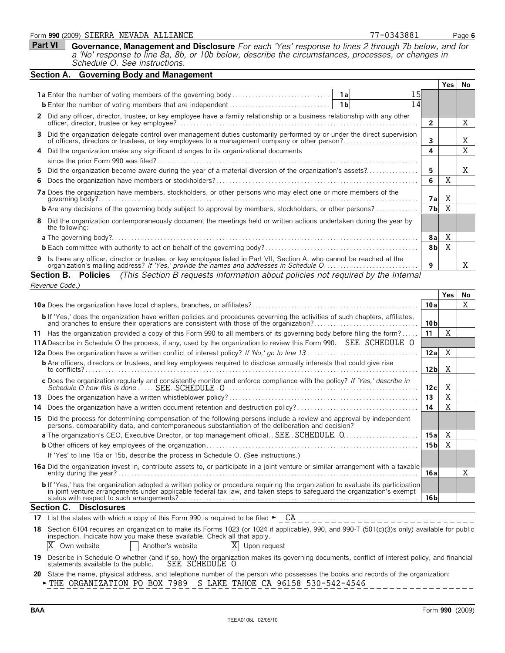#### Form **990** (2009) Page **6** SIERRA NEVADA ALLIANCE 77-0343881

| Part VI Governance, Management and Disclosure For each 'Yes' response to lines 2 through 7b below, and for |
|------------------------------------------------------------------------------------------------------------|
| a 'No' response to line 8a, 8b, or 10b below, describe the circumstances, processes, or changes in         |
| Schedule O. See instructions.                                                                              |

| Section A. Governing Body and Management                                                                                                                                                                                         |          |    |
|----------------------------------------------------------------------------------------------------------------------------------------------------------------------------------------------------------------------------------|----------|----|
|                                                                                                                                                                                                                                  | Yes.     | No |
| 15I                                                                                                                                                                                                                              |          |    |
| 14                                                                                                                                                                                                                               |          |    |
| 2 Did any officer, director, trustee, or key employee have a family relationship or a business relationship with any other<br>2                                                                                                  |          | X  |
| Did the organization delegate control over management duties customarily performed by or under the direct supervision<br>3<br>of officers, directors or trustees, or key employees to a management company or other person?<br>3 |          | X  |
| 4<br>4 Did the organization make any significant changes to its organizational documents                                                                                                                                         |          | X  |
|                                                                                                                                                                                                                                  |          |    |
| Did the organization become aware during the year of a material diversion of the organization's assets?<br>5<br>5.                                                                                                               |          | X  |
| 6<br>6.                                                                                                                                                                                                                          | X        |    |
| 7a Does the organization have members, stockholders, or other persons who may elect one or more members of the                                                                                                                   | X<br>7al |    |
| 7b<br><b>b</b> Are any decisions of the governing body subject to approval by members, stockholders, or other persons?                                                                                                           | X        |    |
| Did the organization contemporaneously document the meetings held or written actions undertaken during the year by<br>8<br>the following:                                                                                        |          |    |
| 8a                                                                                                                                                                                                                               | X        |    |
| 8 <sub>b</sub>                                                                                                                                                                                                                   | X        |    |
| 9 Is there any officer, director or trustee, or key employee listed in Part VII, Section A, who cannot be reached at the organization's mailing address? If 'Yes,' provide the names and addresses in Schedule O<br>9            |          | X  |
| <b>Section B. Policies</b> (This Section B requests information about policies not required by the Internal                                                                                                                      |          |    |

|                                                                                                                                                                                                                                                                  |                 | <b>Yes</b> | No |
|------------------------------------------------------------------------------------------------------------------------------------------------------------------------------------------------------------------------------------------------------------------|-----------------|------------|----|
|                                                                                                                                                                                                                                                                  | 10a             |            | X  |
| <b>b</b> If 'Yes,' does the organization have written policies and procedures governing the activities of such chapters, affiliates,<br>and branches to ensure their operations are consistent with those of the organization?.                                  | 10 <sub>b</sub> |            |    |
| Has the organization provided a copy of this Form 990 to all members of its governing body before filing the form?<br>11.                                                                                                                                        | 11              | X          |    |
| 11 A Describe in Schedule O the process, if any, used by the organization to review this Form 990. SEE SCHEDULE O                                                                                                                                                |                 |            |    |
|                                                                                                                                                                                                                                                                  | 12a             | X          |    |
| <b>b</b> Are officers, directors or trustees, and key employees required to disclose annually interests that could give rise<br>to conflicts?                                                                                                                    | 12 bl           | X          |    |
| c Does the organization regularly and consistently monitor and enforce compliance with the policy? If 'Yes,' describe in                                                                                                                                         | 12cl            | X          |    |
| 13                                                                                                                                                                                                                                                               | 13              | X          |    |
| Does the organization have a written document retention and destruction policy?<br>14                                                                                                                                                                            | 14              | X          |    |
| Did the process for determining compensation of the following persons include a review and approval by independent persons, comparability data, and contemporaneous substantiation of the deliberation and decision?<br>15                                       |                 |            |    |
| a The organization's CEO, Executive Director, or top management official. SEE. SCHEDULE. 0                                                                                                                                                                       | 15a             | X          |    |
|                                                                                                                                                                                                                                                                  | 15 <sub>b</sub> | X          |    |
| If 'Yes' to line 15a or 15b, describe the process in Schedule O. (See instructions.)                                                                                                                                                                             |                 |            |    |
| 16a Did the organization invest in, contribute assets to, or participate in a joint venture or similar arrangement with a taxable                                                                                                                                |                 |            |    |
| entity during the year?.                                                                                                                                                                                                                                         | 16a             |            | Χ  |
| <b>b</b> If 'Yes,' has the organization adopted a written policy or procedure requiring the organization to evaluate its participation<br>in joint venture arrangements under applicable federal tax law, and taken steps to safeguard the organization's exempt |                 |            |    |
| <b>Section C. Disclosures</b>                                                                                                                                                                                                                                    | 16 <sub>b</sub> |            |    |
|                                                                                                                                                                                                                                                                  |                 |            |    |
| 17 List the states with which a copy of this Form 990 is required to be filed $\blacktriangleright$ CA                                                                                                                                                           |                 |            |    |

| 18 Section 6104 requires an organization to make its Forms 1023 (or 1024 if applicable), 990, and 990-T (501(c)(3)s only) available for public |                   |                |  |  |
|------------------------------------------------------------------------------------------------------------------------------------------------|-------------------|----------------|--|--|
| inspection. Indicate how you make these available. Check all that apply.                                                                       |                   |                |  |  |
| X Own website                                                                                                                                  | Another's website | X Upon request |  |  |

**19** Describe in Schedule O whether (and if so, how) the organization makes its governing documents, conflict of interest policy, and financial statements available to the public. SEE SCHEDULE O

**20** State the name, physical address, and telephone number of the person who possesses the books and records of the organization:

**FIHE ORGANIZATION PO BOX 7989 S LAKE TAHOE CA 96158 530-542-4546** ----------------

*Revenue Code.)*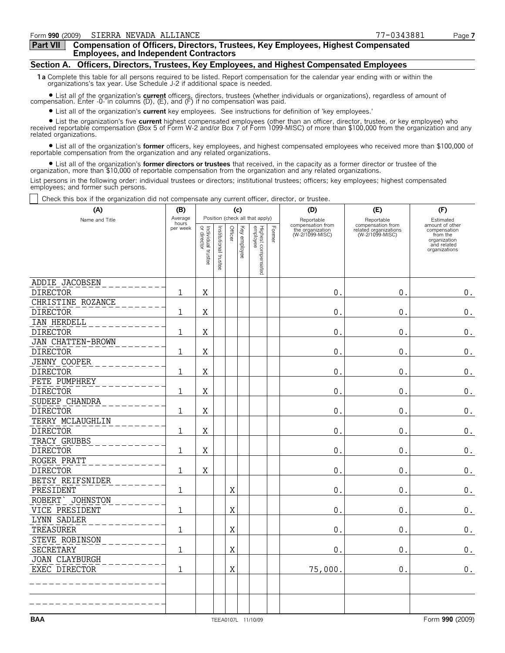#### **Part VII Compensation of Officers, Directors, Trustees, Key Employees, Highest Compensated Employees, and Independent Contractors**

### **Section A. Officers, Directors, Trustees, Key Employees, and Highest Compensated Employees**

**1a** Complete this table for all persons required to be listed. Report compensation for the calendar year ending with or within the organizations's tax year. Use Schedule J-2 if additional space is needed.

? List all of the organization's **current** officers, directors, trustees (whether individuals or organizations), regardless of amount of compensation. Enter -0- in columns (D), (E), and (F) if no compensation was paid.

? List all of the organization's **current** key employees. See instructions for definition of 'key employees.'

? List the organization's five **current** highest compensated employees (other than an officer, director, trustee, or key employee) who received reportable compensation (Box 5 of Form W-2 and/or Box 7 of Form 1099-MISC) of more than \$100,000 from the organization and any related organizations.

? List all of the organization's **former** officers, key employees, and highest compensated employees who received more than \$100,000 of reportable compensation from the organization and any related organizations.

? List all of the organization's **former directors or trustees** that received, in the capacity as a former director or trustee of the organization, more than \$10,000 of reportable compensation from the organization and any related organizations.

List persons in the following order: individual trustees or directors; institutional trustees; officers; key employees; highest compensated employees; and former such persons.

Check this box if the organization did not compensate any current officer, director, or trustee.

| (A)                      | (B)              |                                   |                       |         | (c)          |                                 |        | (D)                                 | (E)                                      | (F)                                                                      |  |  |
|--------------------------|------------------|-----------------------------------|-----------------------|---------|--------------|---------------------------------|--------|-------------------------------------|------------------------------------------|--------------------------------------------------------------------------|--|--|
| Name and Title           | Average<br>hours |                                   |                       |         |              | Position (check all that apply) |        | Reportable<br>compensation from     | Reportable<br>compensation from          | Estimated<br>amount of other                                             |  |  |
|                          | per week         | Individual trustee<br>or director | Institutional trustee | Officer | Key employee | Highest compensated<br>employee | Former | the organization<br>(W-2/1099-MISC) | related organizations<br>(W-2/1099-MISC) | compensation<br>from the<br>organization<br>and related<br>organizations |  |  |
| ADDIE JACOBSEN           |                  |                                   |                       |         |              |                                 |        |                                     |                                          |                                                                          |  |  |
| <b>DIRECTOR</b>          | 1                | $\mathbf X$                       |                       |         |              |                                 |        | $\mathbf{0}$                        | $0$ .                                    | 0.                                                                       |  |  |
| CHRISTINE ROZANCE        |                  |                                   |                       |         |              |                                 |        |                                     |                                          |                                                                          |  |  |
| <b>DIRECTOR</b>          | 1                | X                                 |                       |         |              |                                 |        | $\mathbf{0}$ .                      | 0.                                       | $\boldsymbol{0}$ .                                                       |  |  |
| IAN HERDELL              |                  |                                   |                       |         |              |                                 |        |                                     |                                          |                                                                          |  |  |
| <b>DIRECTOR</b>          | 1                | Χ                                 |                       |         |              |                                 |        | $0$ .                               | 0.                                       | $0$ .                                                                    |  |  |
| <b>JAN CHATTEN-BROWN</b> |                  |                                   |                       |         |              |                                 |        |                                     |                                          |                                                                          |  |  |
| <b>DIRECTOR</b>          | $\mathbf{1}$     | X                                 |                       |         |              |                                 |        | $\mathbf 0$                         | $0$ .                                    | $\boldsymbol{0}$ .                                                       |  |  |
| JENNY COOPER             |                  |                                   |                       |         |              |                                 |        |                                     |                                          |                                                                          |  |  |
| <b>DIRECTOR</b>          | 1                | $\mathbf X$                       |                       |         |              |                                 |        | $\mathbf{0}$ .                      | 0.                                       | $\mathbf 0$ .                                                            |  |  |
| PETE PUMPHREY            |                  |                                   |                       |         |              |                                 |        |                                     |                                          |                                                                          |  |  |
| <b>DIRECTOR</b>          | 1                | X                                 |                       |         |              |                                 |        | $\mathbf{0}$ .                      | 0.                                       | $\boldsymbol{0}$ .                                                       |  |  |
| SUDEEP CHANDRA           |                  |                                   |                       |         |              |                                 |        |                                     |                                          |                                                                          |  |  |
| <b>DIRECTOR</b>          | $\mathbf 1$      | Χ                                 |                       |         |              |                                 |        | $\mathbf{0}$ .                      | $\mathbf{0}$ .                           | $\boldsymbol{0}$ .                                                       |  |  |
| TERRY MCLAUGHLIN         |                  |                                   |                       |         |              |                                 |        |                                     |                                          |                                                                          |  |  |
| <b>DIRECTOR</b>          | 1                | Χ                                 |                       |         |              |                                 |        | $0$ .                               | $\mathbf 0$ .                            | 0.                                                                       |  |  |
| TRACY GRUBBS             |                  |                                   |                       |         |              |                                 |        |                                     |                                          |                                                                          |  |  |
| <b>DIRECTOR</b>          | $\mathbf{1}$     | X                                 |                       |         |              |                                 |        | $\mathbf 0$                         | 0.                                       | $\boldsymbol{0}$ .                                                       |  |  |
| ROGER PRATT              |                  |                                   |                       |         |              |                                 |        |                                     |                                          |                                                                          |  |  |
| <b>DIRECTOR</b>          | 1                | $\mathbf X$                       |                       |         |              |                                 |        | $\overline{0}$ .                    | $\overline{0}$ .                         | $\boldsymbol{0}$ .                                                       |  |  |
| BETSY REIFSNIDER         |                  |                                   |                       |         |              |                                 |        |                                     |                                          |                                                                          |  |  |
| PRESIDENT                | $\mathbf 1$      |                                   |                       | X       |              |                                 |        | 0.                                  | 0.                                       | $\boldsymbol{0}$ .                                                       |  |  |
| ROBERT > JOHNSTON        |                  |                                   |                       |         |              |                                 |        |                                     |                                          |                                                                          |  |  |
| VICE PRESIDENT           | 1                |                                   |                       | X       |              |                                 |        | $\mathbf{0}$ .                      | $\mathbf{0}$ .                           | $\boldsymbol{0}$ .                                                       |  |  |
| LYNN SADLER              |                  |                                   |                       |         |              |                                 |        |                                     |                                          |                                                                          |  |  |
| TREASURER                | 1                |                                   |                       | Χ       |              |                                 |        | $\mathbf{0}$ .                      | $0$ .                                    | $\boldsymbol{0}$ .                                                       |  |  |
| STEVE ROBINSON           |                  |                                   |                       |         |              |                                 |        |                                     |                                          |                                                                          |  |  |
| SECRETARY                | 1                |                                   |                       | Χ       |              |                                 |        | $\mathbf 0$                         | 0.                                       | $\boldsymbol{0}$ .                                                       |  |  |
| JOAN CLAYBURGH           |                  |                                   |                       |         |              |                                 |        |                                     |                                          |                                                                          |  |  |
| EXEC DIRECTOR            | 1                |                                   |                       | X       |              |                                 |        | 75,000                              | 0.                                       | $0$ .                                                                    |  |  |
|                          |                  |                                   |                       |         |              |                                 |        |                                     |                                          |                                                                          |  |  |
|                          |                  |                                   |                       |         |              |                                 |        |                                     |                                          |                                                                          |  |  |
|                          |                  |                                   |                       |         |              |                                 |        |                                     |                                          |                                                                          |  |  |
|                          |                  |                                   |                       |         |              |                                 |        |                                     |                                          |                                                                          |  |  |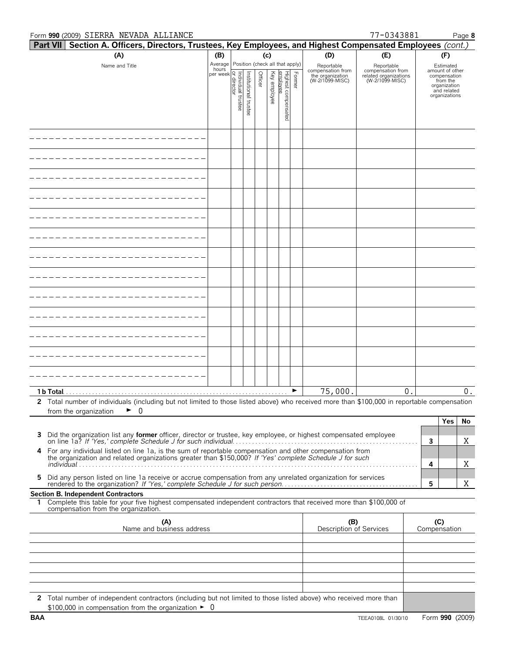#### Form **990** (2009) Page **8** SIERRA NEVADA ALLIANCE 77-0343881

| <b>Part VII</b><br>Section A. Officers, Directors, Trustees, Key Employees, and Highest Compensated Employees (cont.)                                                                                               |                                                                       |                      |         |          |                        |        |                                                     |                                          |   |                                              |
|---------------------------------------------------------------------------------------------------------------------------------------------------------------------------------------------------------------------|-----------------------------------------------------------------------|----------------------|---------|----------|------------------------|--------|-----------------------------------------------------|------------------------------------------|---|----------------------------------------------|
| (A)                                                                                                                                                                                                                 | (B)                                                                   |                      | (c)     |          |                        |        | (D)                                                 | (E)                                      |   | (F)                                          |
| Name and Title                                                                                                                                                                                                      | Average Position (check all that apply)<br>hours                      |                      |         | Ķēλ      |                        |        | Reportable<br>compensation from<br>the organization | Reportable<br>compensation from          |   | Estimated<br>amount of other<br>compensation |
|                                                                                                                                                                                                                     |                                                                       |                      | Officer | employee | Highest cc<br>employee | Former | (W-2/1099-MISC)                                     | related organizations<br>(W-2/1099-MISC) |   | from the<br>organization<br>and related      |
|                                                                                                                                                                                                                     | individual trustee<br>  or director<br>  or director<br>  or director | nstitutional trustee |         |          | compensa               |        |                                                     |                                          |   | organizations                                |
|                                                                                                                                                                                                                     |                                                                       |                      |         |          | g                      |        |                                                     |                                          |   |                                              |
|                                                                                                                                                                                                                     |                                                                       |                      |         |          |                        |        |                                                     |                                          |   |                                              |
|                                                                                                                                                                                                                     |                                                                       |                      |         |          |                        |        |                                                     |                                          |   |                                              |
|                                                                                                                                                                                                                     |                                                                       |                      |         |          |                        |        |                                                     |                                          |   |                                              |
|                                                                                                                                                                                                                     |                                                                       |                      |         |          |                        |        |                                                     |                                          |   |                                              |
|                                                                                                                                                                                                                     |                                                                       |                      |         |          |                        |        |                                                     |                                          |   |                                              |
|                                                                                                                                                                                                                     |                                                                       |                      |         |          |                        |        |                                                     |                                          |   |                                              |
|                                                                                                                                                                                                                     |                                                                       |                      |         |          |                        |        |                                                     |                                          |   |                                              |
|                                                                                                                                                                                                                     |                                                                       |                      |         |          |                        |        |                                                     |                                          |   |                                              |
|                                                                                                                                                                                                                     |                                                                       |                      |         |          |                        |        |                                                     |                                          |   |                                              |
|                                                                                                                                                                                                                     |                                                                       |                      |         |          |                        |        |                                                     |                                          |   |                                              |
|                                                                                                                                                                                                                     |                                                                       |                      |         |          |                        |        |                                                     |                                          |   |                                              |
|                                                                                                                                                                                                                     |                                                                       |                      |         |          |                        |        |                                                     |                                          |   |                                              |
|                                                                                                                                                                                                                     |                                                                       |                      |         |          |                        |        |                                                     |                                          |   |                                              |
| 1 b Total                                                                                                                                                                                                           |                                                                       |                      |         |          |                        |        | 75,000.                                             | 0                                        |   | 0.                                           |
| 2 Total number of individuals (including but not limited to those listed above) who received more than \$100,000 in reportable compensation                                                                         |                                                                       |                      |         |          |                        |        |                                                     |                                          |   |                                              |
| from the organization<br>U                                                                                                                                                                                          |                                                                       |                      |         |          |                        |        |                                                     |                                          |   | <b>Yes</b><br>No                             |
| Did the organization list any former officer, director or trustee, key employee, or highest compensated employee<br>3                                                                                               |                                                                       |                      |         |          |                        |        |                                                     |                                          |   |                                              |
| on line 1a? If 'Yes,' complete Schedule J for such individual.<br>4                                                                                                                                                 |                                                                       |                      |         |          |                        |        |                                                     |                                          | 3 | Χ                                            |
| For any individual listed on line 1a, is the sum of reportable compensation and other compensation from<br>the organization and related organizations greater than \$150,000? If 'Yes' complete Schedule J for such |                                                                       |                      |         |          |                        |        |                                                     |                                          | 4 | Χ                                            |
| Did any person listed on line 1a receive or accrue compensation from any unrelated organization for services<br>5                                                                                                   |                                                                       |                      |         |          |                        |        |                                                     |                                          | 5 | Χ                                            |
| <b>Section B. Independent Contractors</b>                                                                                                                                                                           |                                                                       |                      |         |          |                        |        |                                                     |                                          |   |                                              |
| Complete this table for your five highest compensated independent contractors that received more than \$100,000 of<br>1.<br>compensation from the organization.                                                     |                                                                       |                      |         |          |                        |        |                                                     |                                          |   |                                              |
| (A)<br>Name and business address                                                                                                                                                                                    |                                                                       |                      |         |          |                        |        | (B)<br>Description of Services                      |                                          |   | (C)<br>Compensation                          |
|                                                                                                                                                                                                                     |                                                                       |                      |         |          |                        |        |                                                     |                                          |   |                                              |
|                                                                                                                                                                                                                     |                                                                       |                      |         |          |                        |        |                                                     |                                          |   |                                              |
|                                                                                                                                                                                                                     |                                                                       |                      |         |          |                        |        |                                                     |                                          |   |                                              |
|                                                                                                                                                                                                                     |                                                                       |                      |         |          |                        |        |                                                     |                                          |   |                                              |
| 2 Total number of independent contractors (including but not limited to those listed above) who received more than                                                                                                  |                                                                       |                      |         |          |                        |        |                                                     |                                          |   |                                              |
| \$100,000 in compensation from the organization $\blacktriangleright$ 0                                                                                                                                             |                                                                       |                      |         |          |                        |        |                                                     |                                          |   |                                              |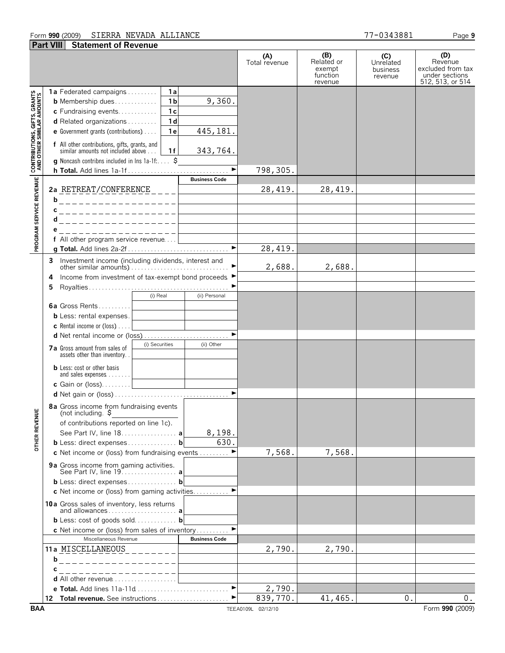#### Form **990** (2009) Page **9** SIERRA NEVADA ALLIANCE 77-0343881 **Part VIII Statement of Revenue**

|                                                          |                                                                                                       | (A)<br>Total revenue | (B)<br>Related or<br>exempt<br>function<br>revenue | (C)<br>Unrelated<br>business<br>revenue | (D)<br>Revenue<br>excluded from tax<br>under sections<br>512, 513, or 514 |
|----------------------------------------------------------|-------------------------------------------------------------------------------------------------------|----------------------|----------------------------------------------------|-----------------------------------------|---------------------------------------------------------------------------|
|                                                          | 1a Federated campaigns<br>1a                                                                          |                      |                                                    |                                         |                                                                           |
|                                                          | 9,360.<br>1 <sub>b</sub><br><b>b</b> Membership dues                                                  |                      |                                                    |                                         |                                                                           |
|                                                          | 1 <sub>c</sub><br>c Fundraising events                                                                |                      |                                                    |                                         |                                                                           |
|                                                          | d Related organizations<br>1 <sub>d</sub>                                                             |                      |                                                    |                                         |                                                                           |
|                                                          | 445, 181.<br>e Government grants (contributions)<br>1 e                                               |                      |                                                    |                                         |                                                                           |
| <b>PROGRAM SERVICE REVENUE AND OTHER SIMILAR AMOUNTS</b> | f All other contributions, gifts, grants, and<br>343,764.<br>similar amounts not included above<br>1f |                      |                                                    |                                         |                                                                           |
|                                                          | <b>g</b> Noncash contribns included in lns $1a-1f$ : $\ddot{S}$                                       |                      |                                                    |                                         |                                                                           |
|                                                          |                                                                                                       | 798,305.             |                                                    |                                         |                                                                           |
|                                                          | <b>Business Code</b>                                                                                  |                      |                                                    |                                         |                                                                           |
|                                                          |                                                                                                       | 28,419.              | 28,419.                                            |                                         |                                                                           |
|                                                          |                                                                                                       |                      |                                                    |                                         |                                                                           |
|                                                          | C<br>------------------                                                                               |                      |                                                    |                                         |                                                                           |
|                                                          | d<br>. _ _ _ _ _ _ _ _ _ _ _ _ _ _ _ _ _ _                                                            |                      |                                                    |                                         |                                                                           |
|                                                          | _________________                                                                                     |                      |                                                    |                                         |                                                                           |
|                                                          | f All other program service revenue                                                                   |                      |                                                    |                                         |                                                                           |
|                                                          | $\overline{\phantom{a}}$                                                                              | 28,419.              |                                                    |                                         |                                                                           |
|                                                          |                                                                                                       |                      |                                                    |                                         |                                                                           |
|                                                          |                                                                                                       | 2,688.               | 2,688.                                             |                                         |                                                                           |
|                                                          | Income from investment of tax-exempt bond proceeds ▶<br>4                                             |                      |                                                    |                                         |                                                                           |
|                                                          | 5                                                                                                     |                      |                                                    |                                         |                                                                           |
|                                                          | (i) Real<br>(ii) Personal                                                                             |                      |                                                    |                                         |                                                                           |
|                                                          | <b>6a</b> Gross Rents                                                                                 |                      |                                                    |                                         |                                                                           |
|                                                          | <b>b</b> Less: rental expenses.                                                                       |                      |                                                    |                                         |                                                                           |
|                                                          | <b>c</b> Rental income or (loss) $\ldots$                                                             |                      |                                                    |                                         |                                                                           |
|                                                          | $\blacktriangleright$<br>d Net rental income or (loss)                                                |                      |                                                    |                                         |                                                                           |
|                                                          | (i) Securities<br>(ii) Other<br>7a Gross amount from sales of                                         |                      |                                                    |                                         |                                                                           |
|                                                          | assets other than inventory.                                                                          |                      |                                                    |                                         |                                                                           |
|                                                          | <b>b</b> Less: cost or other basis<br>and sales expenses <u>  _ _ _ _ _ _ _ _ _ _ _ _ _ _</u>         |                      |                                                    |                                         |                                                                           |
|                                                          | c Gain or (loss)                                                                                      |                      |                                                    |                                         |                                                                           |
|                                                          |                                                                                                       |                      |                                                    |                                         |                                                                           |
| ¥                                                        | 8a Gross income from fundraising events<br>(not including. $\frac{1}{2}$                              |                      |                                                    |                                         |                                                                           |
|                                                          | of contributions reported on line 1c).                                                                |                      |                                                    |                                         |                                                                           |
| <b>OTHER REVEI</b>                                       | See Part IV, line 18. a<br>8,198.                                                                     |                      |                                                    |                                         |                                                                           |
|                                                          | 630.<br><b>b</b> Less: direct expenses <b>b</b>                                                       |                      |                                                    |                                         |                                                                           |
|                                                          | c Net income or (loss) from fundraising events                                                        | 7,568.               | 7,568.                                             |                                         |                                                                           |
|                                                          | 9a Gross income from gaming activities.                                                               |                      |                                                    |                                         |                                                                           |
|                                                          | See Part IV, line 19. a                                                                               |                      |                                                    |                                         |                                                                           |
|                                                          | <b>b</b> Less: direct expenses <b>b</b>                                                               |                      |                                                    |                                         |                                                                           |
|                                                          | $\blacktriangleright$<br>c Net income or (loss) from gaming activities                                |                      |                                                    |                                         |                                                                           |
|                                                          | 10a Gross sales of inventory, less returns<br>and allowances a                                        |                      |                                                    |                                         |                                                                           |
|                                                          | <b>b</b> Less: cost of goods sold <b>b</b>                                                            |                      |                                                    |                                         |                                                                           |
|                                                          | c Net income or (loss) from sales of inventory                                                        |                      |                                                    |                                         |                                                                           |
|                                                          | Miscellaneous Revenue<br><b>Business Code</b>                                                         |                      |                                                    |                                         |                                                                           |
|                                                          | 11a MISCELLANEOUS<br>$- - - - - -$                                                                    | 2,790.               | 2,790.                                             |                                         |                                                                           |
|                                                          | b<br>________________                                                                                 |                      |                                                    |                                         |                                                                           |
|                                                          | С<br>-----------------                                                                                |                      |                                                    |                                         |                                                                           |
|                                                          | d All other revenue                                                                                   |                      |                                                    |                                         |                                                                           |
|                                                          | $\blacktriangleright$                                                                                 | 2,790.               |                                                    |                                         |                                                                           |
|                                                          |                                                                                                       | 839,770.             | 41,465.                                            | 0.                                      | 0.                                                                        |
| BAA                                                      |                                                                                                       | TEEA0109L 02/12/10   |                                                    |                                         | Form 990 (2009)                                                           |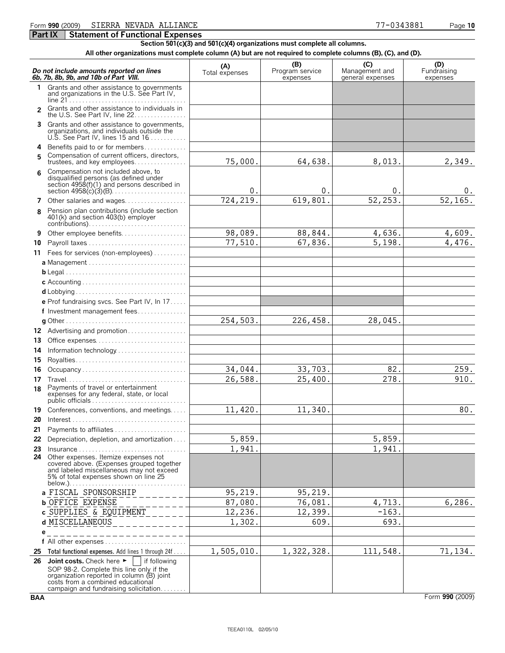#### Form **990** (2009) Page **10** SIERRA NEVADA ALLIANCE 77-0343881

**Section 501(c)(3) and 501(c)(4) organizations must complete all columns.**

**All other organizations must complete column (A) but are not required to complete columns (B), (C), and (D).**

|          | Do not include amounts reported on lines<br>6b, 7b, 8b, 9b, and 10b of Part VIII.                                                                                                                                                       | (A)<br>Total expenses | (B)<br>Program service<br>expenses | (C)<br>Management and<br>general expenses | (D)<br>Fundraising<br>expenses |
|----------|-----------------------------------------------------------------------------------------------------------------------------------------------------------------------------------------------------------------------------------------|-----------------------|------------------------------------|-------------------------------------------|--------------------------------|
| 1.       | Grants and other assistance to governments<br>and organizations in the U.S. See Part IV,                                                                                                                                                |                       |                                    |                                           |                                |
| 2        | Grants and other assistance to individuals in<br>the U.S. See Part IV, line 22.                                                                                                                                                         |                       |                                    |                                           |                                |
| 3.       | Grants and other assistance to governments,<br>organizations, and individuals outside the<br>U.S. See Part IV, lines 15 and 16                                                                                                          |                       |                                    |                                           |                                |
| 4        | Benefits paid to or for members                                                                                                                                                                                                         |                       |                                    |                                           |                                |
| 5.       | Compensation of current officers, directors,                                                                                                                                                                                            | 75,000.               | 64,638.                            | 8,013.                                    | 2,349.                         |
|          | Compensation not included above, to<br>disqualified persons (as defined under<br>section 4958(f)(1) and persons described in                                                                                                            | 0.                    | 0.                                 | 0.                                        | υ.                             |
|          | 7 Other salaries and wages                                                                                                                                                                                                              | 724,219.              | 619,801                            | 52,253.                                   | 52,165.                        |
| 8        | Pension plan contributions (include section<br>401(k) and section 403(b) employer                                                                                                                                                       |                       |                                    |                                           |                                |
| 9        | Other employee benefits                                                                                                                                                                                                                 | 98,089.               | 88,844.                            | 4,636.                                    | 4,609.                         |
| 10       |                                                                                                                                                                                                                                         | 77,510.               | 67,836.                            | 5,198.                                    | 4,476.                         |
| 11       | Fees for services (non-employees)                                                                                                                                                                                                       |                       |                                    |                                           |                                |
|          |                                                                                                                                                                                                                                         |                       |                                    |                                           |                                |
|          |                                                                                                                                                                                                                                         |                       |                                    |                                           |                                |
|          |                                                                                                                                                                                                                                         |                       |                                    |                                           |                                |
|          |                                                                                                                                                                                                                                         |                       |                                    |                                           |                                |
|          | e Prof fundraising svcs. See Part IV, In 17                                                                                                                                                                                             |                       |                                    |                                           |                                |
|          | f Investment management fees                                                                                                                                                                                                            |                       |                                    |                                           |                                |
|          |                                                                                                                                                                                                                                         | 254,503.              | 226,458.                           | 28,045.                                   |                                |
|          | 12 Advertising and promotion                                                                                                                                                                                                            |                       |                                    |                                           |                                |
| 13       | Office expenses                                                                                                                                                                                                                         |                       |                                    |                                           |                                |
| 14       | Information technology                                                                                                                                                                                                                  |                       |                                    |                                           |                                |
| 15       | Royalties                                                                                                                                                                                                                               | 34,044.               | 33,703.                            | 82.                                       | 259.                           |
| 16<br>17 | Occupancy                                                                                                                                                                                                                               | 26,588.               | 25,400.                            | 278.                                      | 910.                           |
| 18       | Payments of travel or entertainment<br>expenses for any federal, state, or local<br>public officials                                                                                                                                    |                       |                                    |                                           |                                |
|          | 19 Conferences, conventions, and meetings                                                                                                                                                                                               | 11,420.               | 11,340.                            |                                           | 80.                            |
| 20       |                                                                                                                                                                                                                                         |                       |                                    |                                           |                                |
|          | 21 Payments to affiliates                                                                                                                                                                                                               |                       |                                    |                                           |                                |
|          | 22 Depreciation, depletion, and amortization                                                                                                                                                                                            | 5,859.                |                                    | 5,859.                                    |                                |
|          |                                                                                                                                                                                                                                         | 1,941                 |                                    | 1,941.                                    |                                |
| 24       | Other expenses. Itemize expenses not<br>covered above. (Expenses grouped together<br>and labeled miscellaneous may not exceed<br>5% of total expenses shown on line 25                                                                  |                       |                                    |                                           |                                |
|          | a FISCAL SPONSORSHIP                                                                                                                                                                                                                    | 95,219.               | 95,219.                            |                                           |                                |
|          | <b>b</b> OFFICE EXPENSE                                                                                                                                                                                                                 | 87,080.               | 76,081.                            | 4,713.                                    | 6,286.                         |
|          | c SUPPLIES & EQUIPMENT                                                                                                                                                                                                                  | 12,236.               | 12,399.                            | $-163.$                                   |                                |
|          | d MISCELLANEOUS                                                                                                                                                                                                                         | 1,302.                | 609.                               | 693.                                      |                                |
|          | е                                                                                                                                                                                                                                       |                       |                                    |                                           |                                |
|          |                                                                                                                                                                                                                                         |                       |                                    |                                           |                                |
| 25       | Total functional expenses. Add lines 1 through 24f                                                                                                                                                                                      | 1,505,010.            | 1,322,328.                         | 111,548.                                  | 71,134.                        |
|          | 26 Joint costs. Check here $\blacktriangleright$<br>if following<br>SOP 98-2. Complete this line only if the<br>organization reported in column (B) joint<br>costs from a combined educational<br>campaign and fundraising solicitation |                       |                                    |                                           |                                |

**BAA** Form **990** (2009)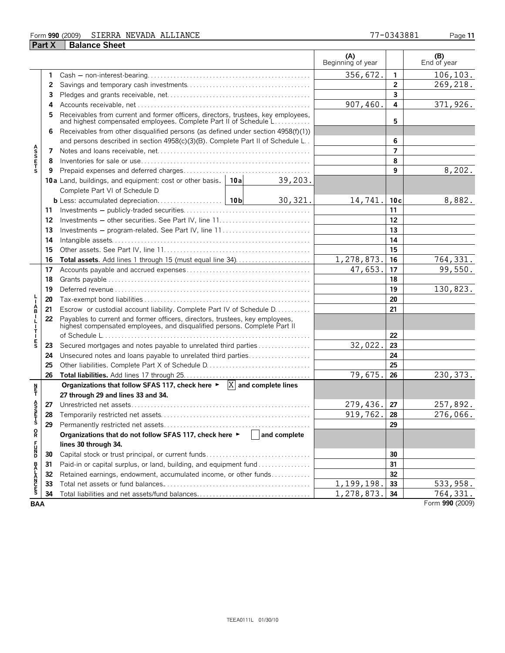## Form **990** (2009) Page **11** SIERRA NEVADA ALLIANCE 77-0343881

|                 | <b>Part X</b> | <b>Balance Sheet</b>                                                                                                                                      |              |                          |                |                    |
|-----------------|---------------|-----------------------------------------------------------------------------------------------------------------------------------------------------------|--------------|--------------------------|----------------|--------------------|
|                 |               |                                                                                                                                                           |              | (A)<br>Beginning of year |                | (B)<br>End of year |
|                 | 1             |                                                                                                                                                           |              | 356,672.                 | $\mathbf{1}$   | 106, 103.          |
|                 | 2             |                                                                                                                                                           |              |                          | $\overline{2}$ | 269,218.           |
|                 | 3             |                                                                                                                                                           |              |                          | $\mathbf{3}$   |                    |
|                 | 4             |                                                                                                                                                           |              | 907,460.                 | 4              | 371,926.           |
|                 |               | Receivables from current and former officers, directors, trustees, key employees, and highest compensated employees. Complete Part II of Schedule L       |              |                          | 5              |                    |
|                 | 6             | Receivables from other disqualified persons (as defined under section 4958(f)(1))                                                                         |              |                          |                |                    |
|                 |               | and persons described in section 4958(c)(3)(B). Complete Part II of Schedule L.                                                                           |              |                          | 6              |                    |
| <b>ASSETS</b>   | 7             |                                                                                                                                                           |              |                          | $\overline{7}$ |                    |
|                 | 8             |                                                                                                                                                           |              |                          | 8              |                    |
|                 | 9             |                                                                                                                                                           |              |                          | 9              | 8,202.             |
|                 |               | 10a Land, buildings, and equipment: cost or other basis.   10a                                                                                            | 39,203.      |                          |                |                    |
|                 |               | Complete Part VI of Schedule D                                                                                                                            |              |                          |                |                    |
|                 |               |                                                                                                                                                           | 30,321.      | 14,741.                  | 10c            | 8,882.             |
|                 | 11            |                                                                                                                                                           |              |                          | 11             |                    |
|                 | 12            |                                                                                                                                                           |              |                          | 12             |                    |
|                 | 13            | Investments – program-related. See Part IV, line 11                                                                                                       |              |                          | 13             |                    |
|                 | 14            |                                                                                                                                                           |              |                          | 14             |                    |
|                 | 15            |                                                                                                                                                           |              |                          | 15             |                    |
|                 | 16            |                                                                                                                                                           |              | 1,278,873.               | 16             | 764,331.           |
|                 | 17            |                                                                                                                                                           |              | 47,653.                  | 17             | 99,550.            |
|                 | 18            |                                                                                                                                                           |              |                          | 18             |                    |
|                 | 19            |                                                                                                                                                           |              |                          | 19             | 130,823.           |
|                 | 20            |                                                                                                                                                           |              |                          | 20             |                    |
| A<br>B          | 21            | Escrow or custodial account liability. Complete Part IV of Schedule D.                                                                                    |              |                          | 21             |                    |
| Т               | 22            | Payables to current and former officers, directors, trustees, key employees,<br>highest compensated employees, and disqualified persons. Complete Part II |              |                          |                |                    |
|                 |               |                                                                                                                                                           |              |                          | 22             |                    |
| E<br>S          | 23            | Secured mortgages and notes payable to unrelated third parties                                                                                            |              | 32,022.                  | 23             |                    |
|                 | 24            | Unsecured notes and loans payable to unrelated third parties                                                                                              |              |                          | 24             |                    |
|                 | 25            |                                                                                                                                                           |              |                          | 25             |                    |
|                 | 26            |                                                                                                                                                           |              | 79,675.                  | 26             | 230, 373.          |
| n<br>F          |               | Organizations that follow SFAS 117, check here $\blacktriangleright \ \overline{X}$ and complete lines<br>27 through 29 and lines 33 and 34.              |              |                          |                |                    |
| ŝ               |               |                                                                                                                                                           |              | 279,436.                 | 27             | 257,892.           |
|                 | 27            |                                                                                                                                                           |              | 919,762.                 | 28             | 276,066.           |
| n<br>T<br>S     | 28<br>29      |                                                                                                                                                           |              |                          | 29             |                    |
| o<br>R          |               |                                                                                                                                                           | and complete |                          |                |                    |
|                 |               | Organizations that do not follow SFAS 117, check here ▶<br>lines 30 through 34.                                                                           |              |                          |                |                    |
| <b>PDM</b>      |               |                                                                                                                                                           |              |                          | 30             |                    |
|                 | 30            | Paid-in or capital surplus, or land, building, and equipment fund                                                                                         |              |                          | 31             |                    |
|                 | 31            |                                                                                                                                                           |              |                          | 32             |                    |
|                 | 32<br>33      | Retained earnings, endowment, accumulated income, or other funds                                                                                          |              | 1,199,198.               | 33             | 533,958.           |
| <b>BALANCES</b> | 34            | Total liabilities and net assets/fund balances                                                                                                            |              | 1,278,873.               | 34             | 764, 331.          |
| <b>BAA</b>      |               |                                                                                                                                                           |              |                          |                | Form 990 (2009)    |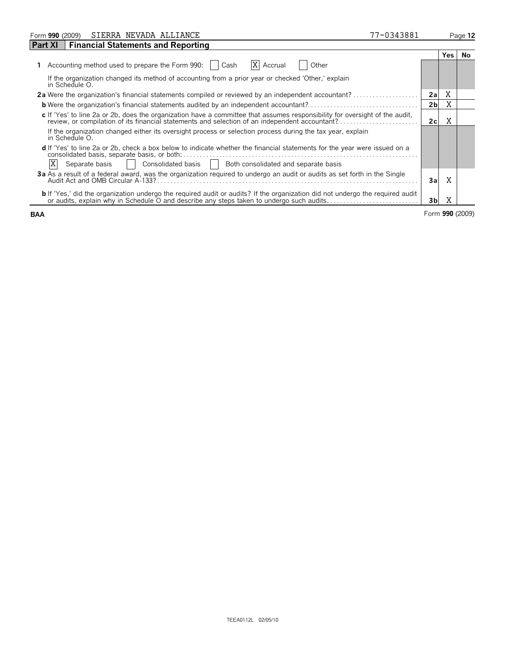| SIERRA NEVADA ALLIANCE<br>Form 990 (2009)                                                                                                                                                                                         | 77-0343881 |                |     | Page 12 |
|-----------------------------------------------------------------------------------------------------------------------------------------------------------------------------------------------------------------------------------|------------|----------------|-----|---------|
| <b>Financial Statements and Reporting</b><br><b>Part XI</b>                                                                                                                                                                       |            |                |     |         |
|                                                                                                                                                                                                                                   |            |                | Yes | No.     |
| Accounting method used to prepare the Form 990:    <br><b>X</b> Accrual<br>Other<br>Cash                                                                                                                                          |            |                |     |         |
| If the organization changed its method of accounting from a prior year or checked 'Other,' explain<br>in Schedule O.                                                                                                              |            |                |     |         |
| <b>2a</b> Were the organization's financial statements compiled or reviewed by an independent accountant?                                                                                                                         |            | 2a             | X   |         |
|                                                                                                                                                                                                                                   |            | 2 <sub>b</sub> | X   |         |
| c If 'Yes' to line 2a or 2b, does the organization have a committee that assumes responsibility for oversight of the audit,                                                                                                       |            | 2c             | Χ   |         |
| If the organization changed either its oversight process or selection process during the tax year, explain<br>in Schedule O.                                                                                                      |            |                |     |         |
| d If 'Yes' to line 2a or 2b, check a box below to indicate whether the financial statements for the year were issued on a<br>X<br>Consolidated basis     Both consolidated and separate basis<br>Separate basis                   |            |                |     |         |
| 3a As a result of a federal award, was the organization reguired to undergo an audit or audits as set forth in the Single<br>Audit Act and OMB Circular A-133?                                                                    |            | Зa             | X   |         |
| <b>b</b> If 'Yes,' did the organization undergo the required audit or audits? If the organization did not undergo the required audit<br>or audits, explain why in Schedule O and describe any steps taken to undergo such audits. |            | 3b             | Χ   |         |

**BAA** Form **990** (2009)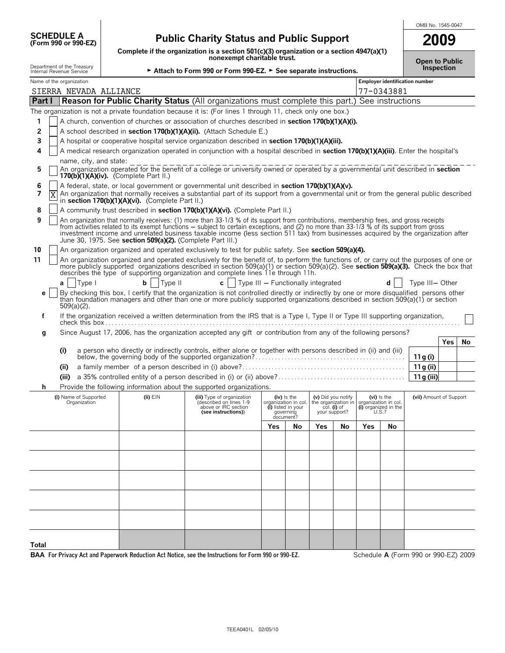| <b>SCHEDULE A</b>   |  |
|---------------------|--|
| (Form 990 or 990-EZ |  |

# **(Form 990 or 990-EZ) Public Charity Status and Public Support**

**Complete if the organization is a section 501(c)(3) organization or a section 4947(a)(1) nonexempt charitable trust.**

| OMB No. 1545-0047 |
|-------------------|
| nn                |
|                   |

| <b>Open to Public</b> |  |
|-----------------------|--|
| Inspection            |  |

| Department of the Treasury<br>► Attach to Form 990 or Form 990-EZ. ► See separate instructions.<br>Internal Revenue Service |       |                                       |  |                                                            |                                                                                                                                                                                                                                                                                                                                                                                                                        |     | <b>Open to Public</b>                                                               | Inspection                                                 |               |                                                                      |            |                                      |            |    |
|-----------------------------------------------------------------------------------------------------------------------------|-------|---------------------------------------|--|------------------------------------------------------------|------------------------------------------------------------------------------------------------------------------------------------------------------------------------------------------------------------------------------------------------------------------------------------------------------------------------------------------------------------------------------------------------------------------------|-----|-------------------------------------------------------------------------------------|------------------------------------------------------------|---------------|----------------------------------------------------------------------|------------|--------------------------------------|------------|----|
| Name of the organization                                                                                                    |       |                                       |  |                                                            |                                                                                                                                                                                                                                                                                                                                                                                                                        |     |                                                                                     |                                                            |               |                                                                      |            | Employer identification number       |            |    |
|                                                                                                                             |       | SIERRA NEVADA ALLIANCE                |  |                                                            |                                                                                                                                                                                                                                                                                                                                                                                                                        |     |                                                                                     |                                                            |               |                                                                      | 77-0343881 |                                      |            |    |
| Part I                                                                                                                      |       |                                       |  |                                                            | <b>Reason for Public Charity Status</b> (All organizations must complete this part.) See instructions                                                                                                                                                                                                                                                                                                                  |     |                                                                                     |                                                            |               |                                                                      |            |                                      |            |    |
|                                                                                                                             |       |                                       |  |                                                            | The organization is not a private foundation because it is: (For lines 1 through 11, check only one box.)                                                                                                                                                                                                                                                                                                              |     |                                                                                     |                                                            |               |                                                                      |            |                                      |            |    |
| 1                                                                                                                           |       |                                       |  |                                                            | A church, convention of churches or association of churches described in section 170(b)(1)(A)(i).                                                                                                                                                                                                                                                                                                                      |     |                                                                                     |                                                            |               |                                                                      |            |                                      |            |    |
| 2                                                                                                                           |       |                                       |  |                                                            | A school described in section 170(b)(1)(A)(ii). (Attach Schedule E.)                                                                                                                                                                                                                                                                                                                                                   |     |                                                                                     |                                                            |               |                                                                      |            |                                      |            |    |
| 3                                                                                                                           |       |                                       |  |                                                            | A hospital or cooperative hospital service organization described in section 170(b)(1)(A)(iii).                                                                                                                                                                                                                                                                                                                        |     |                                                                                     |                                                            |               |                                                                      |            |                                      |            |    |
| 4                                                                                                                           |       |                                       |  |                                                            | A medical research organization operated in conjunction with a hospital described in section 170(b)(1)(A)(iii). Enter the hospital's                                                                                                                                                                                                                                                                                   |     |                                                                                     |                                                            |               |                                                                      |            |                                      |            |    |
| 5                                                                                                                           |       | name, city, and state:                |  | 170(b) $(1)(A)(iv)$ . (Complete Part II.)                  | An organization operated for the benefit of a college or university owned or operated by a governmental unit described in <b>section</b>                                                                                                                                                                                                                                                                               |     |                                                                                     |                                                            |               |                                                                      |            |                                      |            |    |
| 6                                                                                                                           |       |                                       |  |                                                            | A federal, state, or local government or governmental unit described in section 170(b)(1)(A)(v).                                                                                                                                                                                                                                                                                                                       |     |                                                                                     |                                                            |               |                                                                      |            |                                      |            |    |
| 7                                                                                                                           | Χ     |                                       |  | in section 170(b)(1)(A)(vi). (Complete Part II.)           | An organization that normally receives a substantial part of its support from a governmental unit or from the general public described                                                                                                                                                                                                                                                                                 |     |                                                                                     |                                                            |               |                                                                      |            |                                      |            |    |
| 8                                                                                                                           |       |                                       |  |                                                            | A community trust described in section 170(b)(1)(A)(vi). (Complete Part II.)                                                                                                                                                                                                                                                                                                                                           |     |                                                                                     |                                                            |               |                                                                      |            |                                      |            |    |
| 9                                                                                                                           |       |                                       |  | June 30, 1975. See section 509(a)(2). (Complete Part III.) | An organization that normally receives: (1) more than 33-1/3 % of its support from contributions, membership fees, and gross receipts<br>from activities related to its exempt functions - subject to certain exceptions, and (2) no more than 33-1/3 % of its support from gross<br>investment income and unrelated business taxable income (less section 511 tax) from businesses acquired by the organization after |     |                                                                                     |                                                            |               |                                                                      |            |                                      |            |    |
| 10                                                                                                                          |       |                                       |  |                                                            | An organization organized and operated exclusively to test for public safety. See section 509(a)(4).                                                                                                                                                                                                                                                                                                                   |     |                                                                                     |                                                            |               |                                                                      |            |                                      |            |    |
| 11                                                                                                                          |       |                                       |  |                                                            | An organization organized and operated exclusively for the benefit of, to perform the functions of, or carry out the purposes of one or<br>more publicly supported organizations described in section 509(a)(1) or section 509(a)(2). See section 509(a)(3). Check the box that<br>describes the type of supporting organization and complete lines 11e through 11h.                                                   |     |                                                                                     |                                                            |               |                                                                      |            |                                      |            |    |
|                                                                                                                             | a     | Type I                                |  | Type II<br>b                                               | c   $\vert$ Type III – Functionally integrated                                                                                                                                                                                                                                                                                                                                                                         |     |                                                                                     |                                                            |               |                                                                      |            | Type III-Other                       |            |    |
| е                                                                                                                           |       | $509(a)(2)$ .                         |  |                                                            | By checking this box, I certify that the organization is not controlled directly or indirectly by one or more disqualified persons other<br>than foundation managers and other than one or more publicly supported organizations described in section 509(a)(1) or section                                                                                                                                             |     |                                                                                     |                                                            |               |                                                                      |            |                                      |            |    |
| f                                                                                                                           |       |                                       |  |                                                            | If the organization received a written determination from the IRS that is a Type I, Type II or Type III supporting organization,                                                                                                                                                                                                                                                                                       |     |                                                                                     |                                                            |               |                                                                      |            |                                      |            |    |
| g                                                                                                                           |       |                                       |  |                                                            | Since August 17, 2006, has the organization accepted any gift or contribution from any of the following persons?                                                                                                                                                                                                                                                                                                       |     |                                                                                     |                                                            |               |                                                                      |            |                                      |            |    |
|                                                                                                                             |       |                                       |  |                                                            |                                                                                                                                                                                                                                                                                                                                                                                                                        |     |                                                                                     |                                                            |               |                                                                      |            |                                      | <b>Yes</b> | No |
|                                                                                                                             | (i)   |                                       |  |                                                            |                                                                                                                                                                                                                                                                                                                                                                                                                        |     |                                                                                     |                                                            |               |                                                                      |            | 11 g (i)                             |            |    |
|                                                                                                                             | (ii)  |                                       |  |                                                            |                                                                                                                                                                                                                                                                                                                                                                                                                        |     |                                                                                     |                                                            |               |                                                                      |            | 11g (ii)                             |            |    |
|                                                                                                                             | (iii) |                                       |  |                                                            |                                                                                                                                                                                                                                                                                                                                                                                                                        |     |                                                                                     |                                                            |               |                                                                      |            | 11g (iii)                            |            |    |
| h                                                                                                                           |       |                                       |  |                                                            | Provide the following information about the supported organizations.                                                                                                                                                                                                                                                                                                                                                   |     |                                                                                     |                                                            |               |                                                                      |            |                                      |            |    |
|                                                                                                                             |       | (i) Name of Supported<br>Organization |  | (ii) EIN                                                   | (iii) Type of organization<br>(described on lines 1-9<br>above or IRC section<br>(see instructions))                                                                                                                                                                                                                                                                                                                   |     | (iv) Is the<br>organization in col.<br>(i) listed in your<br>governing<br>document? | (v) Did you notify<br>the organization in<br>your support? | $col.$ (i) of | (vi) is the<br>organization in col.<br>(i) organized in the<br>U.S.? |            | (vii) Amount of Support              |            |    |
|                                                                                                                             |       |                                       |  |                                                            |                                                                                                                                                                                                                                                                                                                                                                                                                        | Yes | No                                                                                  | <b>Yes</b>                                                 | No            | Yes                                                                  | No         |                                      |            |    |
|                                                                                                                             |       |                                       |  |                                                            |                                                                                                                                                                                                                                                                                                                                                                                                                        |     |                                                                                     |                                                            |               |                                                                      |            |                                      |            |    |
|                                                                                                                             |       |                                       |  |                                                            |                                                                                                                                                                                                                                                                                                                                                                                                                        |     |                                                                                     |                                                            |               |                                                                      |            |                                      |            |    |
|                                                                                                                             |       |                                       |  |                                                            |                                                                                                                                                                                                                                                                                                                                                                                                                        |     |                                                                                     |                                                            |               |                                                                      |            |                                      |            |    |
|                                                                                                                             |       |                                       |  |                                                            |                                                                                                                                                                                                                                                                                                                                                                                                                        |     |                                                                                     |                                                            |               |                                                                      |            |                                      |            |    |
|                                                                                                                             |       |                                       |  |                                                            |                                                                                                                                                                                                                                                                                                                                                                                                                        |     |                                                                                     |                                                            |               |                                                                      |            |                                      |            |    |
|                                                                                                                             |       |                                       |  |                                                            |                                                                                                                                                                                                                                                                                                                                                                                                                        |     |                                                                                     |                                                            |               |                                                                      |            |                                      |            |    |
|                                                                                                                             |       |                                       |  |                                                            |                                                                                                                                                                                                                                                                                                                                                                                                                        |     |                                                                                     |                                                            |               |                                                                      |            |                                      |            |    |
|                                                                                                                             |       |                                       |  |                                                            |                                                                                                                                                                                                                                                                                                                                                                                                                        |     |                                                                                     |                                                            |               |                                                                      |            |                                      |            |    |
|                                                                                                                             |       |                                       |  |                                                            |                                                                                                                                                                                                                                                                                                                                                                                                                        |     |                                                                                     |                                                            |               |                                                                      |            |                                      |            |    |
| Total                                                                                                                       |       |                                       |  |                                                            |                                                                                                                                                                                                                                                                                                                                                                                                                        |     |                                                                                     |                                                            |               |                                                                      |            |                                      |            |    |
|                                                                                                                             |       |                                       |  |                                                            | BAA For Privacy Act and Paperwork Reduction Act Notice, see the Instructions for Form 990 or 990-EZ.                                                                                                                                                                                                                                                                                                                   |     |                                                                                     |                                                            |               |                                                                      |            | Schedule A (Form 990 or 990-EZ) 2009 |            |    |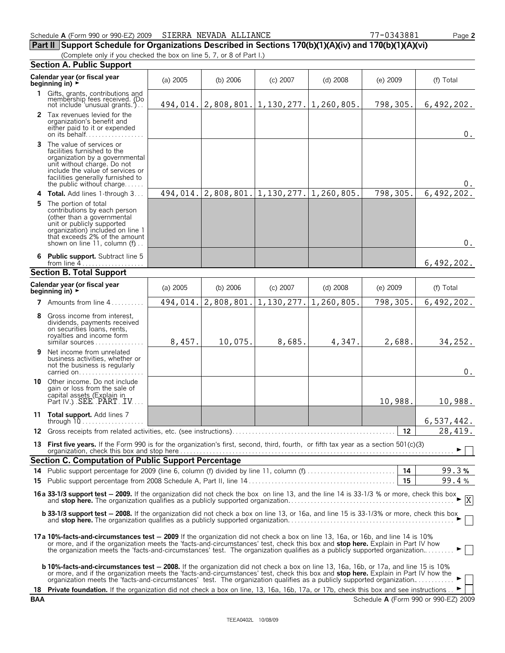| Schedule A (Form 990 or 990-EZ) 2009 SIERRA NEVADA ALLIANCE |  | 7-0343881<br>$\Box$ age $\angle$ |
|-------------------------------------------------------------|--|----------------------------------|
|-------------------------------------------------------------|--|----------------------------------|

**Part II Support Schedule for Organizations Described in Sections 170(b)(1)(A)(iv) and 170(b)(1)(A)(vi)**

(Complete only if you checked the box on line 5, 7, or 8 of Part I.)

| Calendar year (or fiscal year<br>$(a)$ 2005<br>$(c)$ 2007<br>(b) $2006$<br>$(d)$ 2008<br>$(e)$ 2009<br>beginning in) ►<br>1 Gifts, grants, contributions and<br>membership fees received. (Do<br>494, 014.   2, 808, 801.   1, 130, 277.   1, 260, 805.<br>798,305.<br>not include 'unusual grants.')<br>2 Tax revenues levied for the<br>organization's benefit and<br>either paid to it or expended<br>on its behalf<br><b>3</b> The value of services or<br>facilities furnished to the<br>organization by a governmental<br>unit without charge. Do not<br>include the value of services or<br>facilities generally furnished to<br>the public without charge<br>1,130,277.<br>798,305.<br>2,808,801.<br>1,260,805.<br>494,014.<br>4 Total. Add lines 1-through 3<br><b>5</b> The portion of total<br>contributions by each person<br>(other than a governmental<br>unit or publicly supported<br>organization) included on line 1<br>that exceeds 2% of the amount<br>shown on line 11, column (f)<br>6 Public support. Subtract line 5<br>from line $4$<br>$(a)$ 2005<br>(b) 2006<br>$(c)$ 2007<br>$(d)$ 2008<br>$(e)$ 2009<br>2,808,801.<br>1,130,277.<br>1,260,805.<br>798,305.<br>494,014.<br>7 Amounts from line 4<br>Gross income from interest,<br>8<br>dividends, payments received<br>on securities loans, rents,<br>royalties and income form<br>8,457.<br>10,075.<br>8,685.<br>4,347.<br>2,688.<br>similar sources<br>Net income from unrelated<br>9<br>business activities, whether or<br>not the business is regularly<br>carried on<br>Other income. Do not include<br>10<br>gain or loss from the sale of<br>capital assets (Explain in<br>Part IV.) SEE PART TV<br>10,988.<br>11 Total support. Add lines 7<br>12<br>13 First five years. If the Form 990 is for the organization's first, second, third, fourth, or fifth tax year as a section 501(c)(3)<br><b>b 33-1/3 support test - 2008.</b> If the organization did not check a box on line 13, or 16a, and line 15 is 33-1/3% or more, check this box<br>17a 10%-facts-and-circumstances test – 2009 If the organization did not check a box on line 13, 16a, or 16b, and line 14 is 10%<br>or more, and if the organization meets the 'facts-and-circumstances' test, check this box and stop here. Explain in Part IV how |                                                                                                                                                |  |  |  |  |  |  |  |
|----------------------------------------------------------------------------------------------------------------------------------------------------------------------------------------------------------------------------------------------------------------------------------------------------------------------------------------------------------------------------------------------------------------------------------------------------------------------------------------------------------------------------------------------------------------------------------------------------------------------------------------------------------------------------------------------------------------------------------------------------------------------------------------------------------------------------------------------------------------------------------------------------------------------------------------------------------------------------------------------------------------------------------------------------------------------------------------------------------------------------------------------------------------------------------------------------------------------------------------------------------------------------------------------------------------------------------------------------------------------------------------------------------------------------------------------------------------------------------------------------------------------------------------------------------------------------------------------------------------------------------------------------------------------------------------------------------------------------------------------------------------------------------------------------------------------------------------------------------------------------------------------------------------------------------------------------------------------------------------------------------------------------------------------------------------------------------------------------------------------------------------------------------------------------------------------------------------------------------------------------------------------------------------------------------|------------------------------------------------------------------------------------------------------------------------------------------------|--|--|--|--|--|--|--|
|                                                                                                                                                                                                                                                                                                                                                                                                                                                                                                                                                                                                                                                                                                                                                                                                                                                                                                                                                                                                                                                                                                                                                                                                                                                                                                                                                                                                                                                                                                                                                                                                                                                                                                                                                                                                                                                                                                                                                                                                                                                                                                                                                                                                                                                                                                          | (f) Total                                                                                                                                      |  |  |  |  |  |  |  |
|                                                                                                                                                                                                                                                                                                                                                                                                                                                                                                                                                                                                                                                                                                                                                                                                                                                                                                                                                                                                                                                                                                                                                                                                                                                                                                                                                                                                                                                                                                                                                                                                                                                                                                                                                                                                                                                                                                                                                                                                                                                                                                                                                                                                                                                                                                          | 6,492,202.                                                                                                                                     |  |  |  |  |  |  |  |
| <b>Section B. Total Support</b><br>Calendar year (or fiscal year<br>beginning in) ►<br><b>Section C. Computation of Public Support Percentage</b>                                                                                                                                                                                                                                                                                                                                                                                                                                                                                                                                                                                                                                                                                                                                                                                                                                                                                                                                                                                                                                                                                                                                                                                                                                                                                                                                                                                                                                                                                                                                                                                                                                                                                                                                                                                                                                                                                                                                                                                                                                                                                                                                                        | $0$ .                                                                                                                                          |  |  |  |  |  |  |  |
|                                                                                                                                                                                                                                                                                                                                                                                                                                                                                                                                                                                                                                                                                                                                                                                                                                                                                                                                                                                                                                                                                                                                                                                                                                                                                                                                                                                                                                                                                                                                                                                                                                                                                                                                                                                                                                                                                                                                                                                                                                                                                                                                                                                                                                                                                                          | 0.                                                                                                                                             |  |  |  |  |  |  |  |
|                                                                                                                                                                                                                                                                                                                                                                                                                                                                                                                                                                                                                                                                                                                                                                                                                                                                                                                                                                                                                                                                                                                                                                                                                                                                                                                                                                                                                                                                                                                                                                                                                                                                                                                                                                                                                                                                                                                                                                                                                                                                                                                                                                                                                                                                                                          | 6,492,202.                                                                                                                                     |  |  |  |  |  |  |  |
|                                                                                                                                                                                                                                                                                                                                                                                                                                                                                                                                                                                                                                                                                                                                                                                                                                                                                                                                                                                                                                                                                                                                                                                                                                                                                                                                                                                                                                                                                                                                                                                                                                                                                                                                                                                                                                                                                                                                                                                                                                                                                                                                                                                                                                                                                                          | $0$ .                                                                                                                                          |  |  |  |  |  |  |  |
|                                                                                                                                                                                                                                                                                                                                                                                                                                                                                                                                                                                                                                                                                                                                                                                                                                                                                                                                                                                                                                                                                                                                                                                                                                                                                                                                                                                                                                                                                                                                                                                                                                                                                                                                                                                                                                                                                                                                                                                                                                                                                                                                                                                                                                                                                                          | 6,492,202.                                                                                                                                     |  |  |  |  |  |  |  |
|                                                                                                                                                                                                                                                                                                                                                                                                                                                                                                                                                                                                                                                                                                                                                                                                                                                                                                                                                                                                                                                                                                                                                                                                                                                                                                                                                                                                                                                                                                                                                                                                                                                                                                                                                                                                                                                                                                                                                                                                                                                                                                                                                                                                                                                                                                          |                                                                                                                                                |  |  |  |  |  |  |  |
|                                                                                                                                                                                                                                                                                                                                                                                                                                                                                                                                                                                                                                                                                                                                                                                                                                                                                                                                                                                                                                                                                                                                                                                                                                                                                                                                                                                                                                                                                                                                                                                                                                                                                                                                                                                                                                                                                                                                                                                                                                                                                                                                                                                                                                                                                                          | (f) Total                                                                                                                                      |  |  |  |  |  |  |  |
|                                                                                                                                                                                                                                                                                                                                                                                                                                                                                                                                                                                                                                                                                                                                                                                                                                                                                                                                                                                                                                                                                                                                                                                                                                                                                                                                                                                                                                                                                                                                                                                                                                                                                                                                                                                                                                                                                                                                                                                                                                                                                                                                                                                                                                                                                                          | 6,492,202.                                                                                                                                     |  |  |  |  |  |  |  |
|                                                                                                                                                                                                                                                                                                                                                                                                                                                                                                                                                                                                                                                                                                                                                                                                                                                                                                                                                                                                                                                                                                                                                                                                                                                                                                                                                                                                                                                                                                                                                                                                                                                                                                                                                                                                                                                                                                                                                                                                                                                                                                                                                                                                                                                                                                          | 34,252.                                                                                                                                        |  |  |  |  |  |  |  |
|                                                                                                                                                                                                                                                                                                                                                                                                                                                                                                                                                                                                                                                                                                                                                                                                                                                                                                                                                                                                                                                                                                                                                                                                                                                                                                                                                                                                                                                                                                                                                                                                                                                                                                                                                                                                                                                                                                                                                                                                                                                                                                                                                                                                                                                                                                          | $0$ .                                                                                                                                          |  |  |  |  |  |  |  |
|                                                                                                                                                                                                                                                                                                                                                                                                                                                                                                                                                                                                                                                                                                                                                                                                                                                                                                                                                                                                                                                                                                                                                                                                                                                                                                                                                                                                                                                                                                                                                                                                                                                                                                                                                                                                                                                                                                                                                                                                                                                                                                                                                                                                                                                                                                          | 10,988.                                                                                                                                        |  |  |  |  |  |  |  |
|                                                                                                                                                                                                                                                                                                                                                                                                                                                                                                                                                                                                                                                                                                                                                                                                                                                                                                                                                                                                                                                                                                                                                                                                                                                                                                                                                                                                                                                                                                                                                                                                                                                                                                                                                                                                                                                                                                                                                                                                                                                                                                                                                                                                                                                                                                          | 6,537,442.                                                                                                                                     |  |  |  |  |  |  |  |
|                                                                                                                                                                                                                                                                                                                                                                                                                                                                                                                                                                                                                                                                                                                                                                                                                                                                                                                                                                                                                                                                                                                                                                                                                                                                                                                                                                                                                                                                                                                                                                                                                                                                                                                                                                                                                                                                                                                                                                                                                                                                                                                                                                                                                                                                                                          | 28,419.                                                                                                                                        |  |  |  |  |  |  |  |
|                                                                                                                                                                                                                                                                                                                                                                                                                                                                                                                                                                                                                                                                                                                                                                                                                                                                                                                                                                                                                                                                                                                                                                                                                                                                                                                                                                                                                                                                                                                                                                                                                                                                                                                                                                                                                                                                                                                                                                                                                                                                                                                                                                                                                                                                                                          |                                                                                                                                                |  |  |  |  |  |  |  |
|                                                                                                                                                                                                                                                                                                                                                                                                                                                                                                                                                                                                                                                                                                                                                                                                                                                                                                                                                                                                                                                                                                                                                                                                                                                                                                                                                                                                                                                                                                                                                                                                                                                                                                                                                                                                                                                                                                                                                                                                                                                                                                                                                                                                                                                                                                          |                                                                                                                                                |  |  |  |  |  |  |  |
|                                                                                                                                                                                                                                                                                                                                                                                                                                                                                                                                                                                                                                                                                                                                                                                                                                                                                                                                                                                                                                                                                                                                                                                                                                                                                                                                                                                                                                                                                                                                                                                                                                                                                                                                                                                                                                                                                                                                                                                                                                                                                                                                                                                                                                                                                                          | 99.3%<br>99.4%                                                                                                                                 |  |  |  |  |  |  |  |
|                                                                                                                                                                                                                                                                                                                                                                                                                                                                                                                                                                                                                                                                                                                                                                                                                                                                                                                                                                                                                                                                                                                                                                                                                                                                                                                                                                                                                                                                                                                                                                                                                                                                                                                                                                                                                                                                                                                                                                                                                                                                                                                                                                                                                                                                                                          | 16a 33-1/3 support test - 2009. If the organization did not check the box on line 13, and the line 14 is 33-1/3 % or more, check this box<br>X |  |  |  |  |  |  |  |
|                                                                                                                                                                                                                                                                                                                                                                                                                                                                                                                                                                                                                                                                                                                                                                                                                                                                                                                                                                                                                                                                                                                                                                                                                                                                                                                                                                                                                                                                                                                                                                                                                                                                                                                                                                                                                                                                                                                                                                                                                                                                                                                                                                                                                                                                                                          |                                                                                                                                                |  |  |  |  |  |  |  |
| the organization meets the 'facts-and-circumstances' test. The organization qualifies as a publicly supported organization                                                                                                                                                                                                                                                                                                                                                                                                                                                                                                                                                                                                                                                                                                                                                                                                                                                                                                                                                                                                                                                                                                                                                                                                                                                                                                                                                                                                                                                                                                                                                                                                                                                                                                                                                                                                                                                                                                                                                                                                                                                                                                                                                                               |                                                                                                                                                |  |  |  |  |  |  |  |
| <b>b 10%-facts-and-circumstances test – 2008.</b> If the organization did not check a box on line 13, 16a, 16b, or 17a, and line 15 is 10%<br>or more, and if the organization meets the 'facts-and-circumstances' test, check this box and stop here. Explain in Part IV how the<br>organization meets the 'facts-and-circumstances' test. The organization qualifies as a publicly supported organization<br>18 Private foundation. If the organization did not check a box on line, 13, 16a, 16b, 17a, or 17b, check this box and see instructions $\blacktriangleright$                                                                                                                                                                                                                                                                                                                                                                                                                                                                                                                                                                                                                                                                                                                                                                                                                                                                                                                                                                                                                                                                                                                                                                                                                                                                                                                                                                                                                                                                                                                                                                                                                                                                                                                              |                                                                                                                                                |  |  |  |  |  |  |  |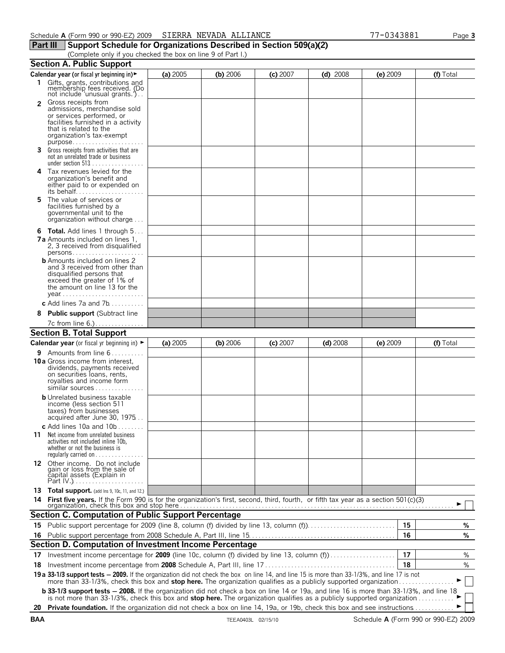# **Part III** Support Schedule for Organizations Described in Section 509(a)(2)

(Complete only if you checked the box on line 9 of Part I.)

|                | <b>Section A. Public Support</b>                                                                                                                                                                                                                                                                                                                                                                                                                                                                           |            |          |            |            |            |    |           |
|----------------|------------------------------------------------------------------------------------------------------------------------------------------------------------------------------------------------------------------------------------------------------------------------------------------------------------------------------------------------------------------------------------------------------------------------------------------------------------------------------------------------------------|------------|----------|------------|------------|------------|----|-----------|
|                | Calendar year (or fiscal yr beginning in) ►                                                                                                                                                                                                                                                                                                                                                                                                                                                                | (a) 2005   | (b) 2006 | $(c)$ 2007 | $(d)$ 2008 | $(e)$ 2009 |    | (f) Total |
|                | 1 Gifts, grants, contributions and<br>membership fees received. (Do<br>not include 'unusual grants.')                                                                                                                                                                                                                                                                                                                                                                                                      |            |          |            |            |            |    |           |
| $\overline{2}$ | Gross receipts from<br>admissions, merchandise sold<br>or services performed, or<br>facilities furnished in a activity<br>that is related to the<br>organization's tax-exempt<br>purpose                                                                                                                                                                                                                                                                                                                   |            |          |            |            |            |    |           |
| 3              | Gross receipts from activities that are<br>not an unrelated trade or business<br>under section 513                                                                                                                                                                                                                                                                                                                                                                                                         |            |          |            |            |            |    |           |
|                | 4 Tax revenues levied for the<br>organization's benefit and<br>either paid to or expended on<br>its behalf                                                                                                                                                                                                                                                                                                                                                                                                 |            |          |            |            |            |    |           |
| 5              | The value of services or<br>facilities furnished by a<br>governmental unit to the<br>organization without charge                                                                                                                                                                                                                                                                                                                                                                                           |            |          |            |            |            |    |           |
|                | 6 Total. Add lines 1 through 5                                                                                                                                                                                                                                                                                                                                                                                                                                                                             |            |          |            |            |            |    |           |
|                | <b>7a</b> Amounts included on lines 1,<br>2, 3 received from disqualified                                                                                                                                                                                                                                                                                                                                                                                                                                  |            |          |            |            |            |    |           |
|                | <b>b</b> Amounts included on lines 2<br>and 3 received from other than<br>disqualified persons that<br>exceed the greater of 1% of<br>the amount on line 13 for the                                                                                                                                                                                                                                                                                                                                        |            |          |            |            |            |    |           |
|                | c Add lines $7a$ and $7b$                                                                                                                                                                                                                                                                                                                                                                                                                                                                                  |            |          |            |            |            |    |           |
| 8              | <b>Public support (Subtract line</b>                                                                                                                                                                                                                                                                                                                                                                                                                                                                       |            |          |            |            |            |    |           |
|                | 7c from line 6.)                                                                                                                                                                                                                                                                                                                                                                                                                                                                                           |            |          |            |            |            |    |           |
|                | <b>Section B. Total Support</b>                                                                                                                                                                                                                                                                                                                                                                                                                                                                            |            |          |            |            |            |    |           |
|                |                                                                                                                                                                                                                                                                                                                                                                                                                                                                                                            |            |          |            |            |            |    |           |
|                | Calendar year (or fiscal yr beginning in) >                                                                                                                                                                                                                                                                                                                                                                                                                                                                | (a) $2005$ | (b) 2006 | $(c)$ 2007 | $(d)$ 2008 | $(e)$ 2009 |    | (f) Total |
|                | <b>9</b> Amounts from line $6$<br><b>10a</b> Gross income from interest,<br>dividends, payments received<br>on securities loans, rents,<br>royalties and income form<br>similar sources                                                                                                                                                                                                                                                                                                                    |            |          |            |            |            |    |           |
|                | <b>b</b> Unrelated business taxable<br>income (less section 511<br>taxes) from businesses<br>acquired after June 30, 1975                                                                                                                                                                                                                                                                                                                                                                                  |            |          |            |            |            |    |           |
| 11             | c Add lines $10a$ and $10b$<br>Net income from unrelated business<br>activities not included inline 10b.<br>whether or not the business is<br>regularly carried on                                                                                                                                                                                                                                                                                                                                         |            |          |            |            |            |    |           |
|                | 12 Other income. Do not include<br>gain or loss from the sale of<br>capital assets (Explain in                                                                                                                                                                                                                                                                                                                                                                                                             |            |          |            |            |            |    |           |
|                |                                                                                                                                                                                                                                                                                                                                                                                                                                                                                                            |            |          |            |            |            |    |           |
|                | 13 Total support. (add Ins 9, 10c, 11, and 12.)                                                                                                                                                                                                                                                                                                                                                                                                                                                            |            |          |            |            |            |    |           |
| 14             | First five years. If the Form 990 is for the organization's first, second, third, fourth, or fifth tax year as a section 501(c)(3)                                                                                                                                                                                                                                                                                                                                                                         |            |          |            |            |            |    |           |
|                |                                                                                                                                                                                                                                                                                                                                                                                                                                                                                                            |            |          |            |            |            |    |           |
|                | <b>Section C. Computation of Public Support Percentage</b>                                                                                                                                                                                                                                                                                                                                                                                                                                                 |            |          |            |            |            |    |           |
|                | 15 Public support percentage for 2009 (line 8, column (f) divided by line 13, column (f)                                                                                                                                                                                                                                                                                                                                                                                                                   |            |          |            |            |            | 15 | %         |
| 16             |                                                                                                                                                                                                                                                                                                                                                                                                                                                                                                            |            |          |            |            |            | 16 | %         |
|                | Section D. Computation of Investment Income Percentage                                                                                                                                                                                                                                                                                                                                                                                                                                                     |            |          |            |            |            |    |           |
|                |                                                                                                                                                                                                                                                                                                                                                                                                                                                                                                            |            |          |            |            |            | 17 | %         |
| 18             | 17 Investment income percentage for 2009 (line 10c, column (f) divided by line 13, column (f)                                                                                                                                                                                                                                                                                                                                                                                                              |            |          |            |            |            | 18 | %         |
|                |                                                                                                                                                                                                                                                                                                                                                                                                                                                                                                            |            |          |            |            |            |    |           |
|                | 19 a 33-1/3 support tests - 2009. If the organization did not check the box on line 14, and line 15 is more than 33-1/3%, and line 17 is not more than 33-1/3%, check this box and stop here. The organization qualifies as a<br><b>b 33-1/3 support tests - 2008.</b> If the organization did not check a box on line 14 or 19a, and line 16 is more than 33-1/3%, and line 18<br>is not more than 33-1/3%, check this box and stop here. The organization qualifies as a publicly supported organization |            |          |            |            |            |    |           |